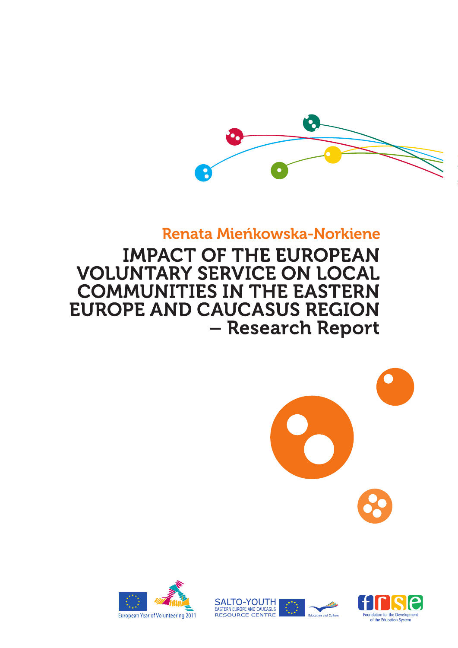

# Renata Mieńkowska-Norkiene

**IMPACT OF THE EUROPEAN VOLUNTARY SERVICE ON LOCAL COMMUNITIES IN THE EASTERN EUROPE AND CAUCASUS REGION** - Research Report

> **SALTO-YOUTH** EASTERN EUROPE AND CAUCASUS

**RESOURCE CENTRE** 





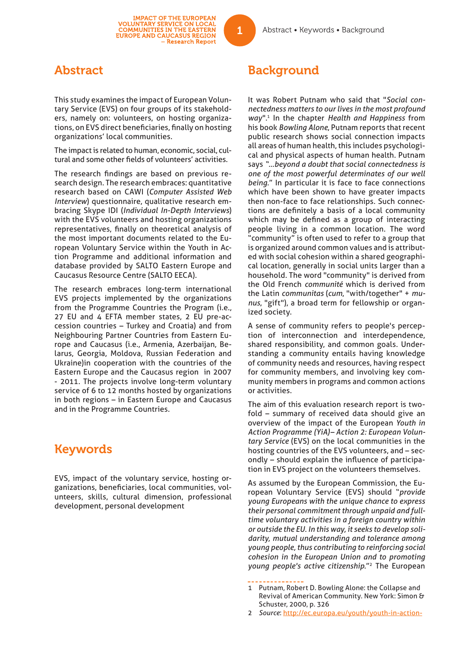## Abstract

This study examines the impact of European Voluntary Service (EVS) on four groups of its stakeholders, namely on: volunteers, on hosting organizations, on EVS direct beneficiaries, finally on hosting organizations' local communities.

The impact is related to human, economic, social, cultural and some other fields of volunteers' activities.

The research findings are based on previous research design. The research embraces: quantitative research based on CAWI (*Computer Assisted Web Interview*) questionnaire, qualitative research embracing Skype IDI (*Individual In-Depth Interviews*) with the EVS volunteers and hosting organizations representatives, finally on theoretical analysis of the most important documents related to the European Voluntary Service within the Youth in Action Programme and additional information and database provided by SALTO Eastern Europe and Caucasus Resource Centre (SALTO EECA).

The research embraces long-term international EVS projects implemented by the organizations from the Programme Countries the Program (i.e., 27 EU and 4 EFTA member states, 2 EU pre-accession countries – Turkey and Croatia) and from Neighbouring Partner Countries from Eastern Europe and Caucasus (i.e., Armenia, Azerbaijan, Belarus, Georgia, Moldova, Russian Federation and Ukraine)in cooperation with the countries of the Eastern Europe and the Caucasus region in 2007 - 2011. The projects involve long-term voluntary service of 6 to 12 months hosted by organizations in both regions – in Eastern Europe and Caucasus and in the Programme Countries.

# Keywords

EVS, impact of the voluntary service, hosting organizations, beneficiaries, local communities, volunteers, skills, cultural dimension, professional development, personal development

# **Background**

It was Robert Putnam who said that "*Social connectedness matters to our lives in the most profound way*".1 In the chapter *Health and Happiness* from his book *Bowling Alone*, Putnam reports that recent public research shows social connection impacts all areas of human health, this includes psychological and physical aspects of human health. Putnam says *"…beyond a doubt that social connectedness is one of the most powerful determinates of our well being.*" In particular it is face to face connections which have been shown to have greater impacts then non-face to face relationships. Such connections are definitely a basis of a local community which may be defined as a group of interacting people living in a common location. The word "community" is often used to refer to a group that is organized around common values and is attributed with social cohesion within a shared geographical location, generally in social units larger than a household. The word "community" is derived from the Old French *communité* which is derived from the Latin *communitas* (*cum*, "with/together" + *munus*, "gift"), a broad term for fellowship or organized society.

A sense of community refers to people's perception of interconnection and interdependence, shared responsibility, and common goals. Understanding a community entails having knowledge of community needs and resources, having respect for community members, and involving key community members in programs and common actions or activities.

The aim of this evaluation research report is twofold – summary of received data should give an overview of the impact of the European *Youth in Action Programme (YiA)– Action 2: European Voluntary Service* (EVS) on the local communities in the hosting countries of the EVS volunteers, and – secondly – should explain the influence of participation in EVS project on the volunteers themselves.

As assumed by the European Commission, the European Voluntary Service (EVS) should "*provide young Europeans with the unique chance to express their personal commitment through unpaid and fulltime voluntary activities in a foreign country within or outside the EU. In this way, it seeks to develop solidarity, mutual understanding and tolerance among young people, thus contributing to reinforcing social cohesion in the European Union and to promoting young people's active citizenship*."2 The European

<sup>1</sup> Putnam, Robert D. Bowling Alone: the Collapse and Revival of American Community. New York: Simon & Schuster, 2000, p. 326

<sup>2</sup> *Source*: http://ec.europa.eu/youth/youth-in-action-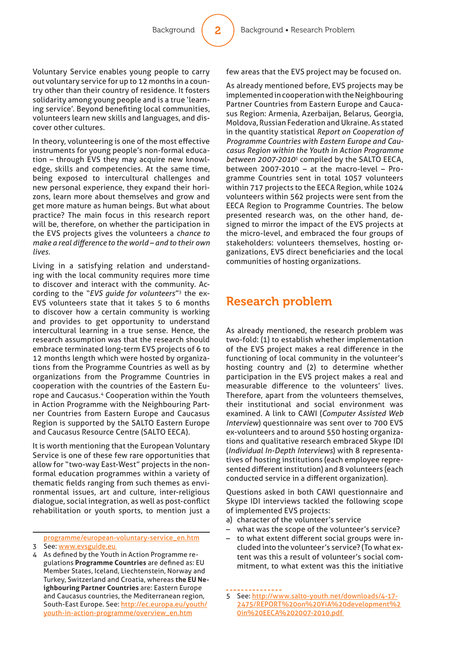Voluntary Service enables young people to carry out voluntary service for up to 12 months in a country other than their country of residence. It fosters solidarity among young people and is a true 'learning service'. Beyond benefiting local communities, volunteers learn new skills and languages, and discover other cultures.

In theory, volunteering is one of the most effective instruments for young people's non-formal education – through EVS they may acquire new knowledge, skills and competencies. At the same time, being exposed to intercultural challenges and new personal experience, they expand their horizons, learn more about themselves and grow and get more mature as human beings. But what about practice? The main focus in this research report will be, therefore, on whether the participation in the EVS projects gives the volunteers a *chance to make a real diff erence to the world – and to their own lives.*

Living in a satisfying relation and understanding with the local community requires more time to discover and interact with the community. According to the "*EVS guide for volunteers*"3 the ex-EVS volunteers state that it takes 5 to 6 months to discover how a certain community is working and provides to get opportunity to understand intercultural learning in a true sense. Hence, the research assumption was that the research should embrace terminated long-term EVS projects of 6 to 12 months length which were hosted by organizations from the Programme Countries as well as by organizations from the Programme Countries in cooperation with the countries of the Eastern Europe and Caucasus.4 Cooperation within the Youth in Action Programme with the Neighbouring Partner Countries from Eastern Europe and Caucasus Region is supported by the SALTO Eastern Europe and Caucasus Resource Centre (SALTO EECA).

It is worth mentioning that the European Voluntary Service is one of these few rare opportunities that allow for "two-way East-West" projects in the nonformal education programmes within a variety of thematic fields ranging from such themes as environmental issues, art and culture, inter-religious dialogue, social integration, as well as post-conflict rehabilitation or youth sports, to mention just a

programme/european-voluntary-service\_en.htm 3 See: www.evsguide.eu

4 As defined by the Youth in Action Programme regulations **Programme Countries** are defined as: EU Member States, Iceland, Liechtenstein, Norway and Turkey, Switzerland and Croatia, whereas **the EU Neighbouring Partner Countries** are: Eastern Europe and Caucasus countries, the Mediterranean region, South-East Europe. See: http://ec.europa.eu/youth/ youth-in-action-programme/overview\_en.htm

few areas that the EVS project may be focused on.

As already mentioned before, EVS projects may be implemented in cooperation with the Neighbouring Partner Countries from Eastern Europe and Caucasus Region: Armenia, Azerbaijan, Belarus, Georgia, Moldova, Russian Federation and Ukraine. As stated in the quantity statistical *Report on Cooperation of Programme Countries with Eastern Europe and Caucasus Region within the Youth in Action Programme between 2007-20105* compiled by the SALTO EECA, between 2007-2010 – at the macro-level – Programme Countries sent in total 1057 volunteers within 717 projects to the EECA Region, while 1024 volunteers within 562 projects were sent from the EECA Region to Programme Countries. The below presented research was, on the other hand, designed to mirror the impact of the EVS projects at the micro-level, and embraced the four groups of stakeholders: volunteers themselves, hosting organizations, EVS direct beneficiaries and the local communities of hosting organizations.

## Research problem

As already mentioned, the research problem was two-fold: (1) to establish whether implementation of the EVS project makes a real difference in the functioning of local community in the volunteer's hosting country and (2) to determine whether participation in the EVS project makes a real and measurable difference to the volunteers' lives. Therefore, apart from the volunteers themselves, their institutional and social environment was examined. A link to CAWI (*Computer Assisted Web Interview*) questionnaire was sent over to 700 EVS ex-volunteers and to around 550 hosting organizations and qualitative research embraced Skype IDI (*Individual In-Depth Interviews*) with 8 representatives of hosting institutions (each employee represented different institution) and 8 volunteers (each conducted service in a different organization).

Questions asked in both CAWI questionnaire and Skype IDI interviews tackled the following scope of implemented EVS projects:

- a) character of the volunteer's service
- what was the scope of the volunteer's service?
- to what extent different social groups were included into the volunteer's service? (To what extent was this a result of volunteer's social commitment, to what extent was this the initiative

<sup>5</sup> See: http://www.salto-youth.net/downloads/4-17- 2475/REPORT%20on%20YiA%20development%2 0in%20EECA%202007-2010.pdf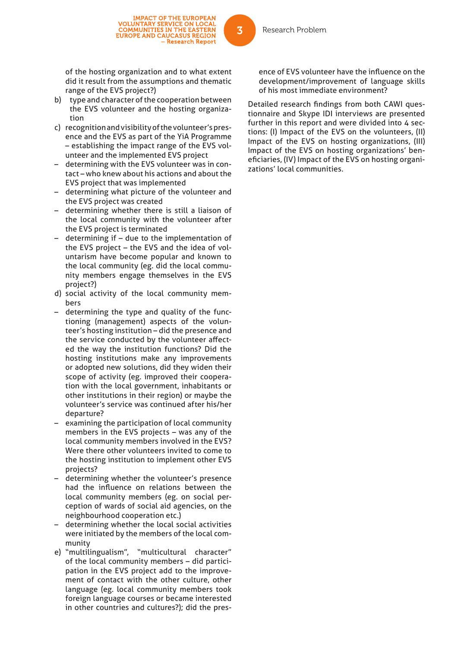IMPACT OF THE EUROPEAN<br>VOLUNTARY SERVICE ON LOCAL<br>COMMUNITIES IN THE EASTERN<br>EUROPE AND CAUCASUS REGION

- Research Report

- b) type and character of the cooperation between the EVS volunteer and the hosting organization
- c) recognition and visibility of the volunteer's presence and the EVS as part of the YiA Programme – establishing the impact range of the EVS volunteer and the implemented EVS project
- determining with the EVS volunteer was in contact – who knew about his actions and about the EVS project that was implemented
- determining what picture of the volunteer and the EVS project was created
- determining whether there is still a liaison of the local community with the volunteer after the EVS project is terminated
- determining if  $-$  due to the implementation of the EVS project – the EVS and the idea of voluntarism have become popular and known to the local community (eg. did the local community members engage themselves in the EVS project?)
- d) social activity of the local community members
- determining the type and quality of the functioning (management) aspects of the volunteer's hosting institution – did the presence and the service conducted by the volunteer affected the way the institution functions? Did the hosting institutions make any improvements or adopted new solutions, did they widen their scope of activity (eg. improved their cooperation with the local government, inhabitants or other institutions in their region) or maybe the volunteer's service was continued after his/her departure?
- examining the participation of local community members in the EVS projects – was any of the local community members involved in the EVS? Were there other volunteers invited to come to the hosting institution to implement other EVS projects?
- determining whether the volunteer's presence had the influence on relations between the local community members (eg. on social perception of wards of social aid agencies, on the neighbourhood cooperation etc.)
- determining whether the local social activities were initiated by the members of the local community
- e) "multilingualism", "multicultural character" of the local community members – did participation in the EVS project add to the improvement of contact with the other culture, other language (eg. local community members took foreign language courses or became interested in other countries and cultures?); did the pres-

ence of EVS volunteer have the influence on the development/improvement of language skills of his most immediate environment?

Detailed research findings from both CAWI questionnaire and Skype IDI interviews are presented further in this report and were divided into 4 sections: (I) Impact of the EVS on the volunteers, (II) Impact of the EVS on hosting organizations, (III) Impact of the EVS on hosting organizations' beneficiaries, (IV) Impact of the EVS on hosting organizations' local communities.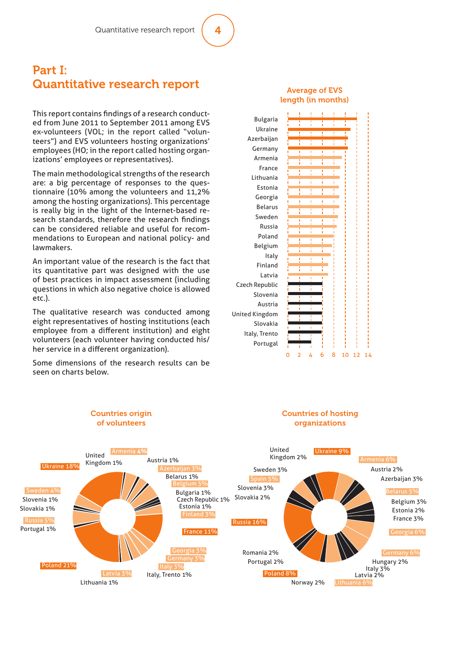## Part I: Quantitative research report

This report contains findings of a research conducted from June 2011 to September 2011 among EVS ex-volunteers (VOL; in the report called "volunteers") and EVS volunteers hosting organizations' employees (HO; in the report called hosting organizations' employees or representatives).

The main methodological strengths of the research are: a big percentage of responses to the questionnaire (10% among the volunteers and 11,2% among the hosting organizations). This percentage is really big in the light of the Internet-based research standards, therefore the research findings can be considered reliable and useful for recommendations to European and national policy- and lawmakers.

An important value of the research is the fact that its quantitative part was designed with the use of best practices in impact assessment (including questions in which also negative choice is allowed etc.).

The qualitative research was conducted among eight representatives of hosting institutions (each employee from a different institution) and eight volunteers (each volunteer having conducted his/ her service in a different organization).

Some dimensions of the research results can be seen on charts below.

> Countries origin of volunteers

#### Average of EVS length (in months)



#### Countries of hosting organizations

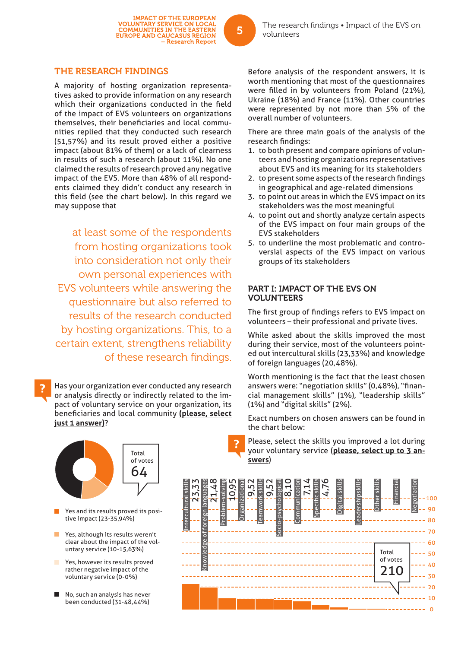#### THE RESEARCH FINDINGS

A majority of hosting organization representatives asked to provide information on any research which their organizations conducted in the field of the impact of EVS volunteers on organizations themselves, their beneficiaries and local communities replied that they conducted such research (51,57%) and its result proved either a positive impact (about 81% of them) or a lack of clearness in results of such a research (about 11%). No one claimed the results of research proved any negative impact of the EVS. More than 48% of all respondents claimed they didn't conduct any research in this field (see the chart below). In this regard we may suppose that

at least some of the respondents from hosting organizations took into consideration not only their own personal experiences with EVS volunteers while answering the questionnaire but also referred to results of the research conducted by hosting organizations. This, to a certain extent, strengthens reliability of these research findings.

Has your organization ever conducted any research or analysis directly or indirectly related to the impact of voluntary service on your organization, its beneficiaries and local community (please, select **just 1 answer)**?

Total of votes 64

- Yes and its results proved its positive impact (23-35,94%)
- Yes, although its results weren't clear about the impact of the voluntary service (10-15,63%)
- Yes, however its results proved rather negative impact of the voluntary service (0-0%)
- No, such an analysis has never been conducted (31-48,44%)

Before analysis of the respondent answers, it is worth mentioning that most of the questionnaires were filled in by volunteers from Poland (21%). Ukraine (18%) and France (11%). Other countries were represented by not more than 5% of the overall number of volunteers.

There are three main goals of the analysis of the research findings:

- 1. to both present and compare opinions of volunteers and hosting organizations representatives about EVS and its meaning for its stakeholders
- 2. to present some aspects of the research findings in geographical and age-related dimensions
- 3. to point out areas in which the EVS impact on its stakeholders was the most meaningful
- 4. to point out and shortly analyze certain aspects of the EVS impact on four main groups of the EVS stakeholders
- 5. to underline the most problematic and controversial aspects of the EVS impact on various groups of its stakeholders

#### PART I: IMPACT OF THE EVS ON VOLUNTEERS

The first group of findings refers to EVS impact on volunteers – their professional and private lives.

While asked about the skills improved the most during their service, most of the volunteers pointed out intercultural skills (23,33%) and knowledge of foreign languages (20,48%).

Worth mentioning is the fact that the least chosen answers were: "negotiation skills" (0,48%), "financial management skills" (1%), "leadership skills" (1%) and "digital skills" (2%).

Exact numbers on chosen answers can be found in the chart below:

Please, select the skills you improved a lot during your voluntary service (**please, select up to 3 answers**)



- Research Report

5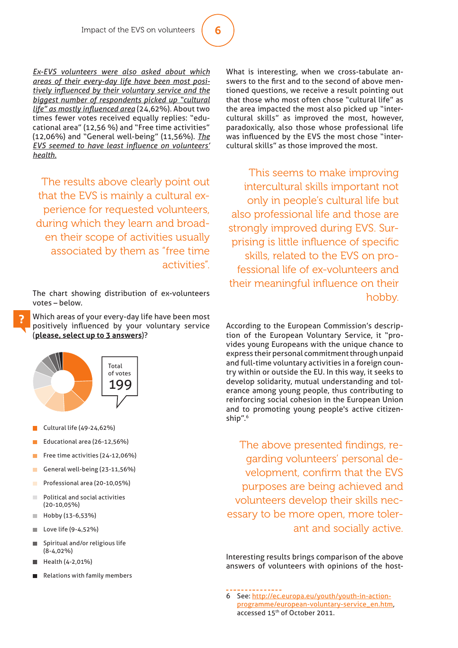*Ex-EVS volunteers were also asked about which areas of their every-day life have been most positively infl uenced by their voluntary service and the biggest number of respondents picked up "cultural life" as mostly infl uenced area* (24,62%). About two times fewer votes received equally replies: "educational area" (12,56 %) and "Free time activities" (12,06%) and "General well-being" (11,56%). *The EVS seemed to have least influence on volunteers' health.*

The results above clearly point out that the EVS is mainly a cultural experience for requested volunteers, during which they learn and broaden their scope of activities usually associated by them as "free time activities".

The chart showing distribution of ex-volunteers votes – below.

Which areas of your every-day life have been most positively influenced by your voluntary service (**please, select up to 3 answers**)?



- Cultural life (49-24,62%)
- Educational area (26-12,56%)
- Free time activities (24-12,06%)
- General well-being (23-11,56%) ×
- Professional area (20-10,05%)
- **In** Political and social activities (20-10,05%)
- Hobby (13-6,53%)
- Love life (9-4,52%) ×
- Spiritual and/or religious life п (8-4,02%)
- Health (4-2,01%)
- Relations with family members

What is interesting, when we cross-tabulate answers to the first and to the second of above mentioned questions, we receive a result pointing out that those who most often chose "cultural life" as the area impacted the most also picked up "intercultural skills" as improved the most, however, paradoxically, also those whose professional life was influenced by the EVS the most chose "intercultural skills" as those improved the most.

This seems to make improving intercultural skills important not only in people's cultural life but also professional life and those are strongly improved during EVS. Surprising is little influence of specific skills, related to the EVS on professional life of ex-volunteers and their meaningful influence on their hobby.

According to the European Commission's description of the European Voluntary Service, it "provides young Europeans with the unique chance to express their personal commitment through unpaid and full-time voluntary activities in a foreign country within or outside the EU. In this way, it seeks to develop solidarity, mutual understanding and tolerance among young people, thus contributing to reinforcing social cohesion in the European Union and to promoting young people's active citizenship".6

The above presented findings, regarding volunteers' personal development, confirm that the EVS purposes are being achieved and volunteers develop their skills necessary to be more open, more tolerant and socially active.

Interesting results brings comparison of the above answers of volunteers with opinions of the host-

6 See: http://ec.europa.eu/youth/youth-in-actionprogramme/european-voluntary-service\_en.htm, accessed 15<sup>th</sup> of October 2011.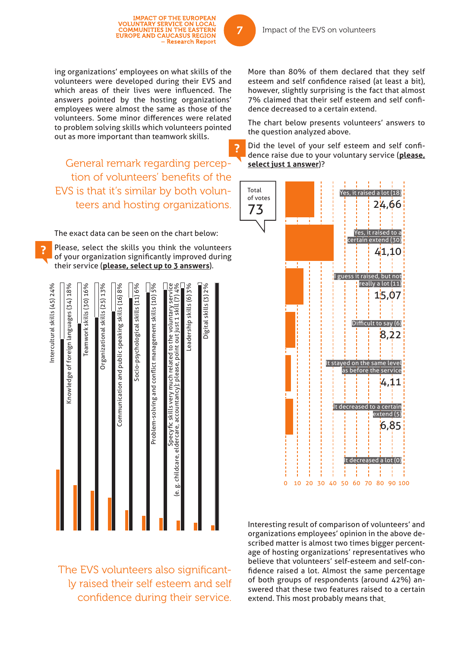ing organizations' employees on what skills of the volunteers were developed during their EVS and which areas of their lives were influenced. The answers pointed by the hosting organizations' employees were almost the same as those of the volunteers. Some minor differences were related to problem solving skills which volunteers pointed out as more important than teamwork skills.

IMPACT OF THE EUROPEAN<br>VOLUNTARY SERVICE ON LOCAL<br>COMMUNITIES IN THE EASTERN<br>EUROPE AND CAUCASUS REGION

- Research Report

General remark regarding perception of volunteers' benefits of the EVS is that it's similar by both volunteers and hosting organizations.

The exact data can be seen on the chart below:

 $1.11 - 1.2 - 1.2$ 

Please, select the skills you think the volunteers of your organization significantly improved during their service (**please, select up to 3 answers**).

The EVS volunteers also significantly raised their self esteem and self confidence during their service.

More than 80% of them declared that they self esteem and self confidence raised (at least a bit). however, slightly surprising is the fact that almost 7% claimed that their self esteem and self confidence decreased to a certain extend.

The chart below presents volunteers' answers to the question analyzed above.

Did the level of your self esteem and self confidence raise due to your voluntary service (**please, select just 1 answer**)?



Interesting result of comparison of volunteers' and organizations employees' opinion in the above described matter is almost two times bigger percentage of hosting organizations' representatives who believe that volunteers' self-esteem and self-confidence raised a lot. Almost the same percentage of both groups of respondents (around 42%) answered that these two features raised to a certain extend. This most probably means that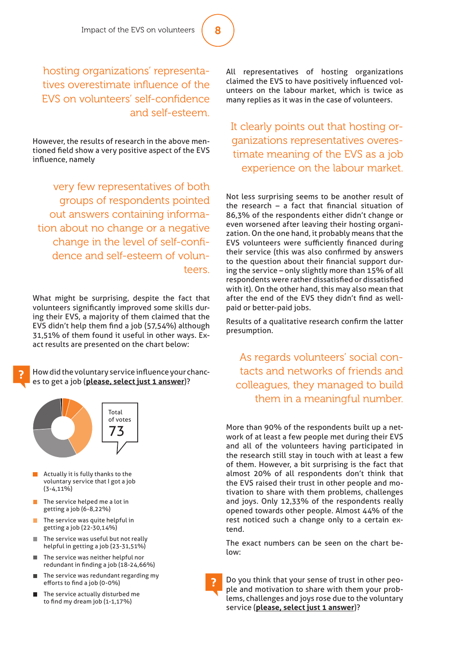hosting organizations' representatives overestimate influence of the EVS on volunteers' self-confidence and self-esteem.

However, the results of research in the above mentioned field show a very positive aspect of the EVS influence, namely

very few representatives of both groups of respondents pointed out answers containing information about no change or a negative change in the level of self-confidence and self-esteem of volunteers.

What might be surprising, despite the fact that volunteers significantly improved some skills during their EVS, a majority of them claimed that the EVS didn't help them find a job (57,54%) although 31,51% of them found it useful in other ways. Exact results are presented on the chart below:

How did the voluntary service influence your chances to get a job (**please, select just 1 answer**)?



- Actually it is fully thanks to the voluntary service that I got a job  $(3 - 4, 11\%)$
- The service helped me a lot in getting a job (6-8,22%)
- The service was quite helpful in getting a job (22-30,14%)
- The service was useful but not really **The Co** helpful in getting a job (23-31,51%)
- The service was neither helpful nor redundant in finding a job (18-24,66%)
- The service was redundant regarding my efforts to find a job (0-0%)
- The service actually disturbed me to find my dream job  $(1-1,17%)$

All representatives of hosting organizations claimed the EVS to have positively influenced volunteers on the labour market, which is twice as many replies as it was in the case of volunteers.

It clearly points out that hosting organizations representatives overestimate meaning of the EVS as a job experience on the labour market.

Not less surprising seems to be another result of the research  $-$  a fact that financial situation of 86,3% of the respondents either didn't change or even worsened after leaving their hosting organization. On the one hand, it probably means that the EVS volunteers were sufficiently financed during their service (this was also confirmed by answers to the question about their financial support during the service – only slightly more than 15% of all respondents were rather dissatisfied or dissatisfied with it). On the other hand, this may also mean that after the end of the EVS they didn't find as wellpaid or better-paid jobs.

Results of a qualitative research confirm the latter presumption.

As regards volunteers' social contacts and networks of friends and colleagues, they managed to build them in a meaningful number.

More than 90% of the respondents built up a network of at least a few people met during their EVS and all of the volunteers having participated in the research still stay in touch with at least a few of them. However, a bit surprising is the fact that almost 20% of all respondents don't think that the EVS raised their trust in other people and motivation to share with them problems, challenges and joys. Only 12,33% of the respondents really opened towards other people. Almost 44% of the rest noticed such a change only to a certain extend.

The exact numbers can be seen on the chart below:

Do you think that your sense of trust in other people and motivation to share with them your problems, challenges and joys rose due to the voluntary service (**please, select just 1 answer**)?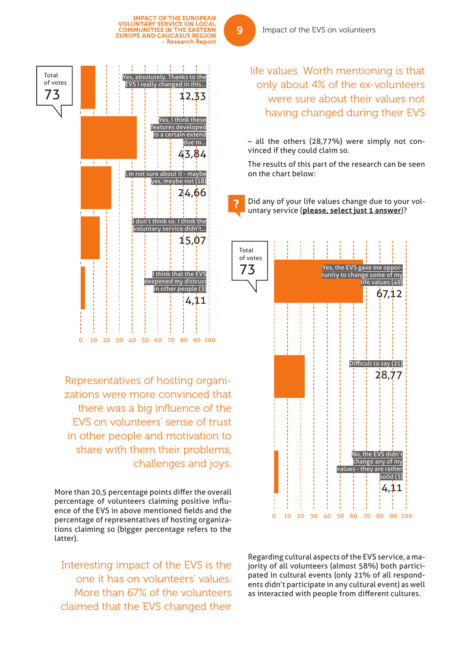

Representatives of hosting organizations were more convinced that there was a big influence of the EVS on volunteers' sense of trust in other people and motivation to share with them their problems, challenges and joys.

More than 20,5 percentage points differ the overall percentage of volunteers claiming positive influence of the EVS in above mentioned fields and the percentage of representatives of hosting organizations claiming so (bigger percentage refers to the latter).

Interesting impact of the EVS is the one it has on volunteers' values. More than 67% of the volunteers claimed that the EVS changed their

Impact of the EVS on volunteers

life values. Worth mentioning is that only about 4% of the ex-volunteers were sure about their values not having changed during their EVS

– all the others (28,77%) were simply not convinced if they could claim so.

The results of this part of the research can be seen on the chart below:

Did any of your life values change due to your voluntary service (**please, select just 1 answer**)?



Regarding cultural aspects of the EVS service, a majority of all volunteers (almost 58%) both participated in cultural events (only 21% of all respondents didn't participate in any cultural event) as well as interacted with people from different cultures.

9

**IMPACT OF THE EUROPEAN** VOLUNTARY SERVICE ON LOCAL<br>COMMUNITIES IN THE EASTERN<br>EUROPE AND CAUCASUS REGION

- Research Report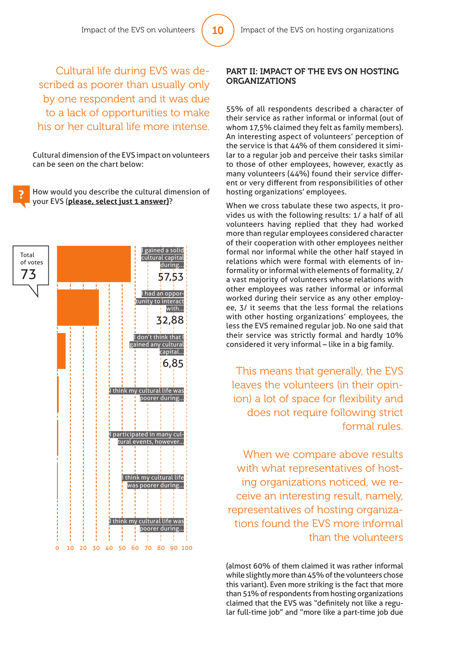Cultural life during EVS was described as poorer than usually only by one respondent and it was due to a lack of opportunities to make his or her cultural life more intense.

Cultural dimension of the EVS impact on volunteers can be seen on the chart below:

How would you describe the cultural dimension of your EVS (**please, select just 1 answer)**?



#### PART II: IMPACT OF THE EVS ON HOSTING ORGANIZATIONS

55% of all respondents described a character of their service as rather informal or informal (out of whom 17,5% claimed they felt as family members). An interesting aspect of volunteers' perception of the service is that 44% of them considered it similar to a regular job and perceive their tasks similar to those of other employees, however, exactly as many volunteers (44%) found their service different or very different from responsibilities of other hosting organizations' employees.

When we cross tabulate these two aspects, it provides us with the following results: 1/ a half of all volunteers having replied that they had worked more than regular employees considered character of their cooperation with other employees neither formal nor informal while the other half stayed in relations which were formal with elements of informality or informal with elements of formality, 2/ a vast majority of volunteers whose relations with other employees was rather informal or informal worked during their service as any other employee, 3/ it seems that the less formal the relations with other hosting organizations' employees, the less the EVS remained regular job. No one said that their service was strictly formal and hardly 10% considered it very informal – like in a big family.

This means that generally, the EVS leaves the volunteers (in their opinion) a lot of space for flexibility and does not require following strict formal rules.

When we compare above results with what representatives of hosting organizations noticed, we receive an interesting result, namely, representatives of hosting organizations found the EVS more informal than the volunteers

(almost 60% of them claimed it was rather informal while slightly more than 45% of the volunteers chose this variant). Even more striking is the fact that more than 51% of respondents from hosting organizations claimed that the EVS was "definitely not like a regular full-time job" and "more like a part-time job due

10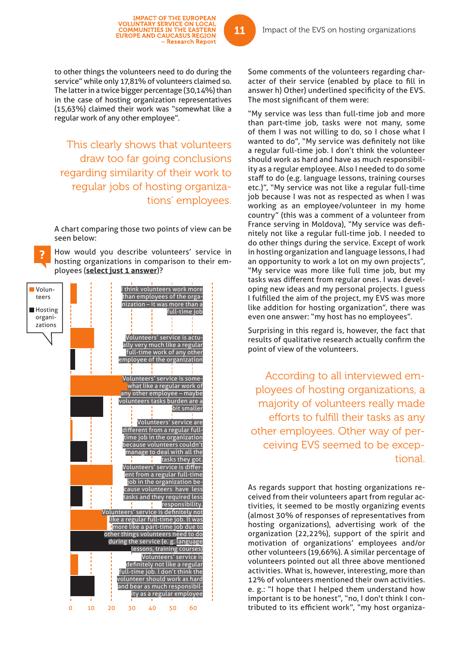to other things the volunteers need to do during the service" while only 17,81% of volunteers claimed so. The latter in a twice bigger percentage (30,14%) than in the case of hosting organization representatives (15,63%) claimed their work was "somewhat like a regular work of any other employee".

IMPACT OF THE EUROPEAN<br>VOLUNTARY SERVICE ON LOCAL<br>COMMUNITIES IN THE EASTERN<br>EUROPE AND CAUCASUS REGION

- Research Report

This clearly shows that volunteers draw too far going conclusions regarding similarity of their work to regular jobs of hosting organizations' employees.

A chart comparing those two points of view can be seen below:

How would you describe volunteers' service in hosting organizations in comparison to their employees (**select just 1 answer**)?



Some comments of the volunteers regarding character of their service (enabled by place to fill in answer h) Other) underlined specificity of the EVS. The most significant of them were:

"My service was less than full-time job and more than part-time job, tasks were not many, some of them I was not willing to do, so I chose what I wanted to do", "My service was definitely not like a regular full-time job. I don't think the volunteer should work as hard and have as much responsibility as a regular employee. Also I needed to do some staff to do (e.g. language lessons, training courses etc.)", "My service was not like a regular full-time job because I was not as respected as when I was working as an employee/volunteer in my home country" (this was a comment of a volunteer from France serving in Moldova), "My service was definitely not like a regular full-time job. I needed to do other things during the service. Except of work in hosting organization and language lessons, I had an opportunity to work a lot on my own projects", "My service was more like full time job, but my tasks was different from regular ones. I was developing new ideas and my personal projects. I guess I fulfilled the aim of the project, my EVS was more like addition for hosting organization", there was even one answer: "my host has no employees".

Surprising in this regard is, however, the fact that results of qualitative research actually confirm the point of view of the volunteers.

According to all interviewed employees of hosting organizations, a majority of volunteers really made efforts to fulfill their tasks as any other employees. Other way of perceiving EVS seemed to be exceptional.

As regards support that hosting organizations received from their volunteers apart from regular activities, it seemed to be mostly organizing events (almost 30% of responses of representatives from hosting organizations), advertising work of the organization (22,22%), support of the spirit and motivation of organizations' employees and/or other volunteers (19,66%). A similar percentage of volunteers pointed out all three above mentioned activities. What is, however, interesting, more than 12% of volunteers mentioned their own activities. e. g.: "I hope that I helped them understand how important is to be honest", "no, I don't think I contributed to its efficient work", "my host organiza-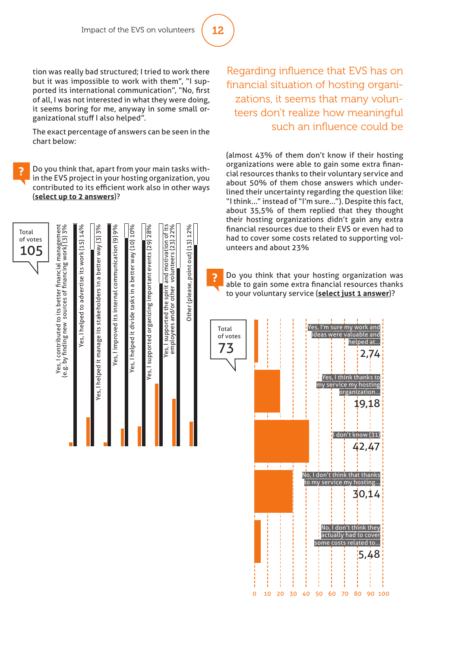# 12

tion was really bad structured; I tried to work there but it was impossible to work with them", "I supported its international communication". "No. first of all, I was not interested in what they were doing, it seems boring for me, anyway in some small organizational stuff I also helped".

The exact percentage of answers can be seen in the chart below:

Do you think that, apart from your main tasks within the EVS project in your hosting organization, you contributed to its efficient work also in other ways (**select up to 2 answers**)?

Regarding influence that EVS has on financial situation of hosting organizations, it seems that many volunteers don't realize how meaningful such an influence could be

(almost 43% of them don't know if their hosting organizations were able to gain some extra financial resources thanks to their voluntary service and about 50% of them chose answers which underlined their uncertainty regarding the question like: "I think..." instead of "I'm sure..."). Despite this fact, about 35,5% of them replied that they thought their hosting organizations didn't gain any extra financial resources due to their EVS or even had to had to cover some costs related to supporting volunteers and about 23%

Do you think that your hosting organization was able to gain some extra financial resources thanks to your voluntary service (**select just 1 answer**)?



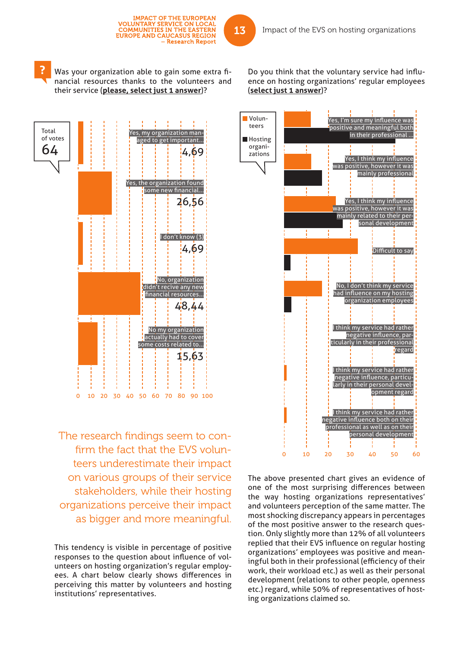

The research findings seem to confirm the fact that the EVS volunteers underestimate their impact on various groups of their service stakeholders, while their hosting organizations perceive their impact as bigger and more meaningful.

This tendency is visible in percentage of positive responses to the question about influence of volunteers on hosting organization's regular employees. A chart below clearly shows differences in perceiving this matter by volunteers and hosting institutions' representatives.

Do you think that the voluntary service had influence on hosting organizations' regular employees (**select just 1 answer**)?



The above presented chart gives an evidence of one of the most surprising differences between the way hosting organizations representatives' and volunteers perception of the same matter. The most shocking discrepancy appears in percentages of the most positive answer to the research question. Only slightly more than 12% of all volunteers replied that their EVS influence on regular hosting organizations' employees was positive and meaningful both in their professional (efficiency of their work, their workload etc.) as well as their personal development (relations to other people, openness etc.) regard, while 50% of representatives of hosting organizations claimed so.

**IMPACT OF THE EUROPEAN** 

- Research Report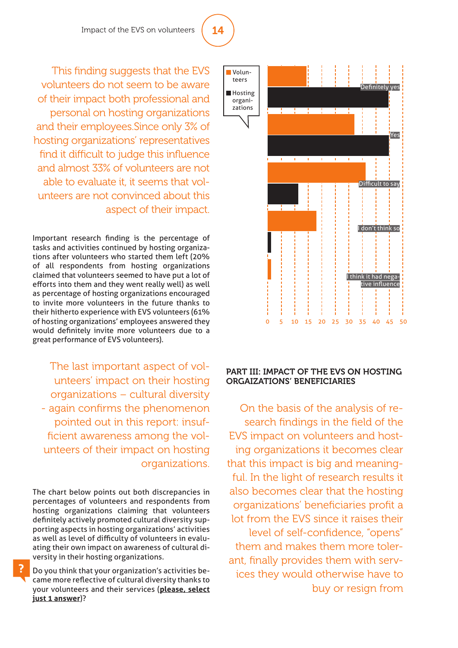

#### PART III: IMPACT OF THE EVS ON HOSTING ORGAIZATIONS' BENEFICIARIES

On the basis of the analysis of research findings in the field of the EVS impact on volunteers and hosting organizations it becomes clear that this impact is big and meaningful. In the light of research results it also becomes clear that the hosting organizations' beneficiaries profit a lot from the EVS since it raises their level of self-confidence, "opens" them and makes them more tolerant, finally provides them with services they would otherwise have to buy or resign from

This finding suggests that the EVS volunteers do not seem to be aware of their impact both professional and personal on hosting organizations and their employees.Since only 3% of hosting organizations' representatives find it difficult to judge this influence and almost 33% of volunteers are not able to evaluate it, it seems that volunteers are not convinced about this aspect of their impact.

Important research finding is the percentage of tasks and activities continued by hosting organizations after volunteers who started them left (20% of all respondents from hosting organizations claimed that volunteers seemed to have put a lot of efforts into them and they went really well) as well as percentage of hosting organizations encouraged to invite more volunteers in the future thanks to their hitherto experience with EVS volunteers (61% of hosting organizations' employees answered they would definitely invite more volunteers due to a great performance of EVS volunteers).

The last important aspect of volunteers' impact on their hosting organizations – cultural diversity - again confirms the phenomenon pointed out in this report: insufficient awareness among the volunteers of their impact on hosting organizations.

The chart below points out both discrepancies in percentages of volunteers and respondents from hosting organizations claiming that volunteers definitely actively promoted cultural diversity supporting aspects in hosting organizations' activities as well as level of difficulty of volunteers in evaluating their own impact on awareness of cultural diversity in their hosting organizations.

Do you think that your organization's activities became more reflective of cultural diversity thanks to your volunteers and their services (**please, select just 1 answer**)?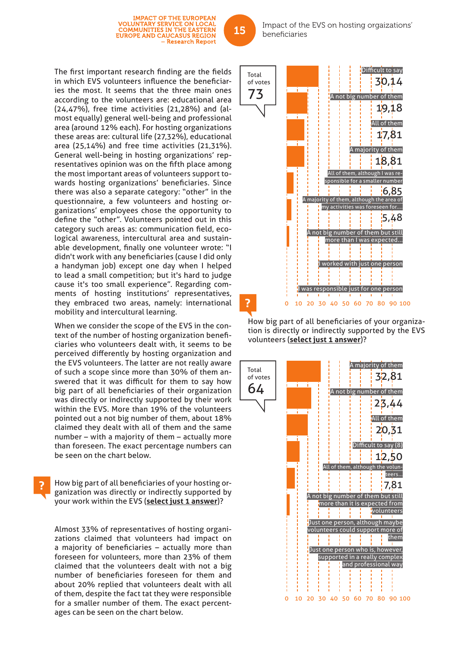The first important research finding are the fields in which EVS volunteers influence the beneficiaries the most. It seems that the three main ones according to the volunteers are: educational area (24,47%), free time activities (21,28%) and (almost equally) general well-being and professional area (around 12% each). For hosting organizations these areas are: cultural life (27,32%), educational area (25,14%) and free time activities (21,31%). General well-being in hosting organizations' representatives opinion was on the fifth place among the most important areas of volunteers support towards hosting organizations' beneficiaries. Since there was also a separate category: "other" in the questionnaire, a few volunteers and hosting organizations' employees chose the opportunity to define the "other". Volunteers pointed out in this category such areas as: communication field, ecological awareness, intercultural area and sustainable development, finally one volunteer wrote: "I didn't work with any beneficiaries (cause I did only a handyman job) except one day when I helped to lead a small competition; but it's hard to judge cause it's too small experience". Regarding comments of hosting institutions' representatives, they embraced two areas, namely: international mobility and intercultural learning.

**IMPACT OF THE EUROPEAN** VOLUNTARY SERVICE ON LOCAL<br>COMMUNITIES IN THE EASTERN<br>EUROPE AND CAUCASUS REGION

- Research Report

When we consider the scope of the EVS in the context of the number of hosting organization beneficiaries who volunteers dealt with, it seems to be perceived differently by hosting organization and the EVS volunteers. The latter are not really aware of such a scope since more than 30% of them answered that it was difficult for them to say how big part of all beneficiaries of their organization was directly or indirectly supported by their work within the EVS. More than 19% of the volunteers pointed out a not big number of them, about 18% claimed they dealt with all of them and the same number – with a majority of them – actually more than foreseen. The exact percentage numbers can be seen on the chart below.

How big part of all beneficiaries of your hosting organization was directly or indirectly supported by your work within the EVS (**select just 1 answer**)?

Almost 33% of representatives of hosting organizations claimed that volunteers had impact on a majority of beneficiaries  $-$  actually more than foreseen for volunteers, more than 23% of them claimed that the volunteers dealt with not a big number of beneficiaries foreseen for them and about 20% replied that volunteers dealt with all of them, despite the fact tat they were responsible for a smaller number of them. The exact percentages can be seen on the chart below.



How big part of all beneficiaries of your organization is directly or indirectly supported by the EVS volunteers (**select just 1 answer**)?

0 10 20 30 40 50 60 70 80 90 100

I was responsible just for one person

A not big number of them but still more than I was expected...

I worked with just one person

my activities was foreseen for....

5,48



Impact of the EVS on hosting orgaizations' beneficiaries

15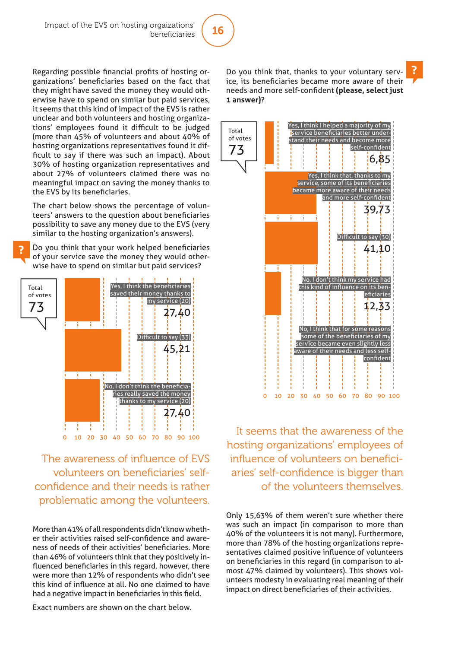

Regarding possible financial profits of hosting organizations' beneficiaries based on the fact that they might have saved the money they would otherwise have to spend on similar but paid services, it seems that this kind of impact of the EVS is rather unclear and both volunteers and hosting organizations' employees found it difficult to be judged (more than 45% of volunteers and about 40% of hosting organizations representatives found it difficult to say if there was such an impact). About 30% of hosting organization representatives and about 27% of volunteers claimed there was no meaningful impact on saving the money thanks to the EVS by its beneficiaries.

The chart below shows the percentage of volunteers' answers to the question about beneficiaries possibility to save any money due to the EVS (very similar to the hosting organization's answers).

Do you think that your work helped beneficiaries of your service save the money they would otherwise have to spend on similar but paid services?



The awareness of influence of EVS volunteers on beneficiaries' selfconfidence and their needs is rather problematic among the volunteers.

More than 41% of all respondents didn't know whether their activities raised self-confidence and awareness of needs of their activities' beneficiaries. More than 46% of volunteers think that they positively influenced beneficiaries in this regard, however, there were more than 12% of respondents who didn't see this kind of influence at all. No one claimed to have had a negative impact in beneficiaries in this field.

Exact numbers are shown on the chart below.

Do you think that, thanks to your voluntary service, its beneficiaries became more aware of their needs and more self-confident (please, select just **1 answer)**?



It seems that the awareness of the hosting organizations' employees of influence of volunteers on beneficiaries' self-confidence is bigger than of the volunteers themselves.

Only 15,63% of them weren't sure whether there was such an impact (in comparison to more than 40% of the volunteers it is not many). Furthermore, more than 78% of the hosting organizations representatives claimed positive influence of volunteers on beneficiaries in this regard (in comparison to almost 47% claimed by volunteers). This shows volunteers modesty in evaluating real meaning of their impact on direct beneficiaries of their activities.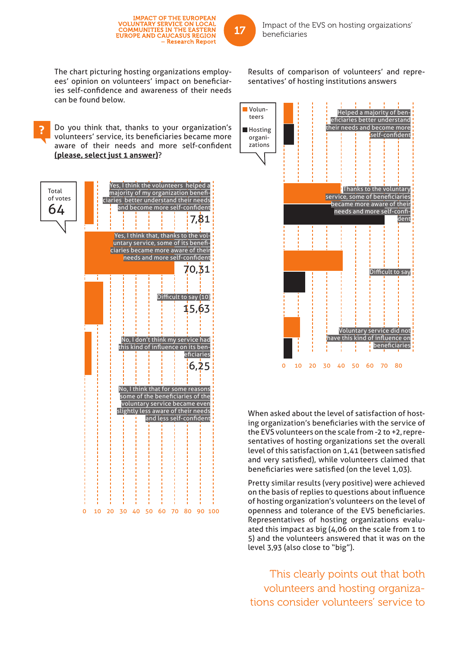The chart picturing hosting organizations employees' opinion on volunteers' impact on beneficiaries self-confidence and awareness of their needs can be found below.

**IMPACT OF THE EUROPEAN** VOLUNTARY SERVICE ON LOCAL<br>COMMUNITIES IN THE EASTERN<br>EUROPE AND CAUCASUS REGION

- Research Report

Do you think that, thanks to your organization's volunteers' service, its beneficiaries became more aware of their needs and more self-confident **(please, select just 1 answer)**?

No, I think that for some reasons some of the beneficiaries of the voluntary service became even slightly less aware of their needs and less self-confident No, I don't think my service had this kind of influence on its beneficiaries 6,25 Difficult to say (10) 15,63 Yes, I think that, thanks to the voluntary service, some of its beneficiaries became more aware of their needs and more self-confident 70,31 Yes, I think the volunteers helped a majority of my organization benefi ciaries better understand their needs and become more self-confident 7,81 Total of votes 64 0 10 20 30 40 50 60 70 80 90 100

Results of comparison of volunteers' and representatives' of hosting institutions answers

> Helped a majority of beneficiaries better understand their needs and become more

0 10 20 30 40 50 60 70 80 self-confident Thanks to the voluntary service, some of beneficiaries became more aware of their needs and more self-confident Difficult to say Voluntary service did not have this kind of influence on beneficiaries **Hosting** organizations

When asked about the level of satisfaction of hosting organization's beneficiaries with the service of the EVS volunteers on the scale from -2 to +2, representatives of hosting organizations set the overall level of this satisfaction on 1,41 (between satisfied and very satisfied), while volunteers claimed that beneficiaries were satisfied (on the level 1,03).

Pretty similar results (very positive) were achieved on the basis of replies to questions about influence of hosting organization's volunteers on the level of openness and tolerance of the EVS beneficiaries. Representatives of hosting organizations evaluated this impact as big (4,06 on the scale from 1 to 5) and the volunteers answered that it was on the level 3,93 (also close to "big").

This clearly points out that both volunteers and hosting organizations consider volunteers' service to



Volunteers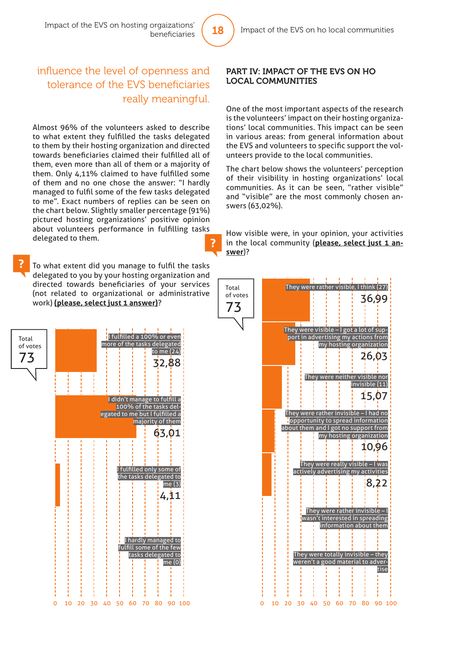### influence the level of openness and tolerance of the EVS beneficiaries really meaningful.

Almost 96% of the volunteers asked to describe to what extent they fulfilled the tasks delegated to them by their hosting organization and directed towards beneficiaries claimed their fulfilled all of them, even more than all of them or a majority of them. Only  $4.11\%$  claimed to have fulfilled some of them and no one chose the answer: "I hardly managed to fulfil some of the few tasks delegated to me". Exact numbers of replies can be seen on the chart below. Slightly smaller percentage (91%) pictured hosting organizations' positive opinion about volunteers performance in fulfilling tasks delegated to them. ?

To what extent did you manage to fulfil the tasks delegated to you by your hosting organization and directed towards beneficiaries of your services (not related to organizational or administrative work) **(please, select just 1 answer)**?



#### PART IV: IMPACT OF THE EVS ON HO LOCAL COMMUNITIES

One of the most important aspects of the research is the volunteers' impact on their hosting organizations' local communities. This impact can be seen in various areas: from general information about the EVS and volunteers to specific support the volunteers provide to the local communities.

The chart below shows the volunteers' perception of their visibility in hosting organizations' local communities. As it can be seen, "rather visible" and "visible" are the most commonly chosen answers (63,02%).

How visible were, in your opinion, your activities in the local community (**please, select just 1 answer**)?

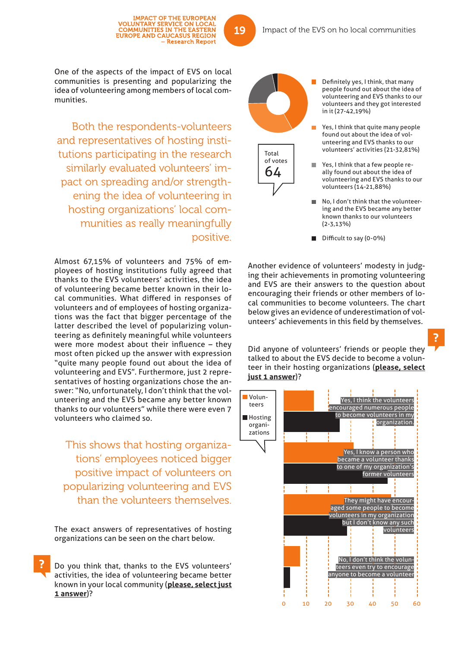One of the aspects of the impact of EVS on local communities is presenting and popularizing the idea of volunteering among members of local communities.

Both the respondents-volunteers and representatives of hosting institutions participating in the research similarly evaluated volunteers' impact on spreading and/or strengthening the idea of volunteering in hosting organizations' local communities as really meaningfully positive.

Almost 67,15% of volunteers and 75% of employees of hosting institutions fully agreed that thanks to the EVS volunteers' activities, the idea of volunteering became better known in their local communities. What differed in responses of volunteers and of employees of hosting organizations was the fact that bigger percentage of the latter described the level of popularizing volunteering as definitely meaningful while volunteers were more modest about their influence  $-$  they most often picked up the answer with expression "quite many people found out about the idea of volunteering and EVS". Furthermore, just 2 representatives of hosting organizations chose the answer: "No, unfortunately, I don't think that the volunteering and the EVS became any better known thanks to our volunteers" while there were even 7 volunteers who claimed so.

This shows that hosting organizations' employees noticed bigger positive impact of volunteers on popularizing volunteering and EVS than the volunteers themselves.

The exact answers of representatives of hosting organizations can be seen on the chart below.

Do you think that, thanks to the EVS volunteers' activities, the idea of volunteering became better known in your local community (**please, select just 1 answer**)?

Definitely yes, I think, that many people found out about the idea of

in it (27-42,19%)

Yes, I think that quite many people found out about the idea of volunteering and EVS thanks to our volunteers' activities (21-32,81%)

volunteering and EVS thanks to our volunteers and they got interested

- m. Yes, I think that a few people really found out about the idea of volunteering and EVS thanks to our volunteers (14-21,88%)
- No, I don't think that the volunteering and the EVS became any better known thanks to our volunteers (2-3,13%)
- $\blacksquare$  Difficult to say (0-0%)

Another evidence of volunteers' modesty in judging their achievements in promoting volunteering and EVS are their answers to the question about encouraging their friends or other members of local communities to become volunteers. The chart below gives an evidence of underestimation of volunteers' achievements in this field by themselves.

Did anyone of volunteers' friends or people they talked to about the EVS decide to become a volunteer in their hosting organizations (**please, select just 1 answer**)?





19

Total of votes 64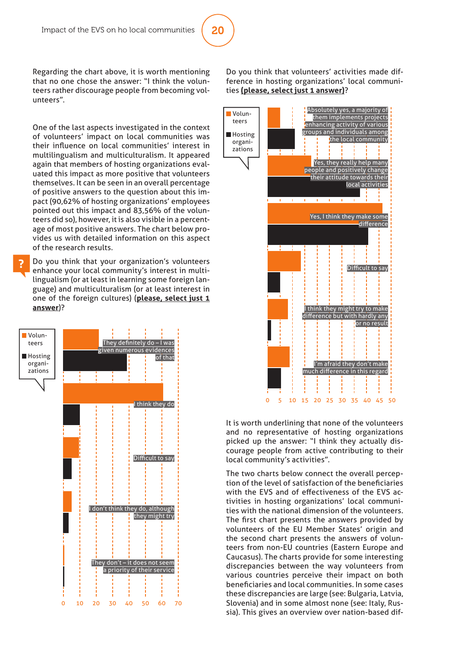# 20

Regarding the chart above, it is worth mentioning that no one chose the answer: "I think the volunteers rather discourage people from becoming volunteers".

One of the last aspects investigated in the context of volunteers' impact on local communities was their influence on local communities' interest in multilingualism and multiculturalism. It appeared again that members of hosting organizations evaluated this impact as more positive that volunteers themselves. It can be seen in an overall percentage of positive answers to the question about this impact (90,62% of hosting organizations' employees pointed out this impact and 83,56% of the volunteers did so), however, it is also visible in a percentage of most positive answers. The chart below provides us with detailed information on this aspect of the research results.

Do you think that your organization's volunteers enhance your local community's interest in multilingualism (or at least in learning some foreign language) and multiculturalism (or at least interest in one of the foreign cultures) (**please, select just 1 answer**)?



#### Do you think that volunteers' activities made difference in hosting organizations' local communities **(please, select just 1 answer)**?



It is worth underlining that none of the volunteers and no representative of hosting organizations picked up the answer: "I think they actually discourage people from active contributing to their local community's activities".

The two charts below connect the overall perception of the level of satisfaction of the beneficiaries with the EVS and of effectiveness of the EVS activities in hosting organizations' local communities with the national dimension of the volunteers. The first chart presents the answers provided by volunteers of the EU Member States' origin and the second chart presents the answers of volunteers from non-EU countries (Eastern Europe and Caucasus). The charts provide for some interesting discrepancies between the way volunteers from various countries perceive their impact on both beneficiaries and local communities. In some cases these discrepancies are large (see: Bulgaria, Latvia, Slovenia) and in some almost none (see: Italy, Russia). This gives an overview over nation-based dif-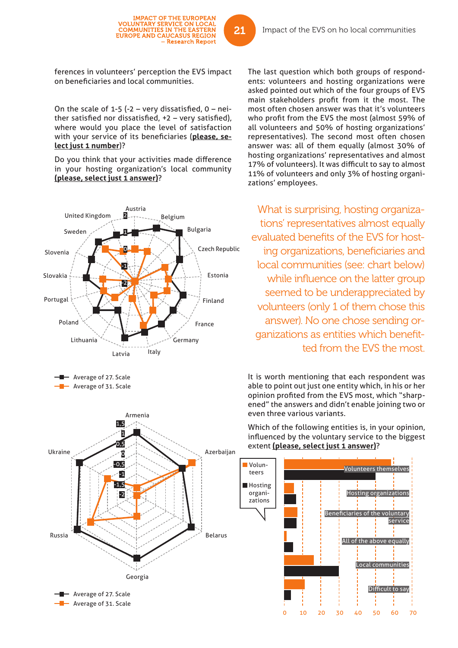**IMPACT OF THE EUROPEAN VOLUNTARY SERVICE ON LOCAL COMMUNITIES IN THE EASTERN<br>EUROPE AND CAUCASUS REGION** 

– Research Report

On the scale of 1-5 (-2 – very dissatisfied,  $0 - nei$ ther satisfied nor dissatisfied,  $+2$  – very satisfied), where would you place the level of satisfaction with your service of its beneficiaries (please, se**lect just 1 number**)?

Do you think that your activities made difference in your hosting organization's local community **(please, select just 1 answer)**?



Georgia

- Average of 27. Scale - Average of 31. Scale Belarus

Russia

The last question which both groups of respondents: volunteers and hosting organizations were asked pointed out which of the four groups of EVS main stakeholders profit from it the most. The most often chosen answer was that it's volunteers who profit from the EVS the most (almost 59% of all volunteers and 50% of hosting organizations' representatives). The second most often chosen answer was: all of them equally (almost 30% of hosting organizations' representatives and almost 17% of volunteers). It was difficult to say to almost 11% of volunteers and only 3% of hosting organizations' employees.

What is surprising, hosting organizations' representatives almost equally evaluated benefits of the EVS for hosting organizations, beneficiaries and local communities (see: chart below) while influence on the latter group seemed to be underappreciated by volunteers (only 1 of them chose this answer). No one chose sending organizations as entities which benefitted from the EVS the most.

It is worth mentioning that each respondent was able to point out just one entity which, in his or her opinion profited from the EVS most, which "sharpened" the answers and didn't enable joining two or even three various variants.

Which of the following entities is, in your opinion, influenced by the voluntary service to the biggest extent **(please, select just 1 answer)**?



21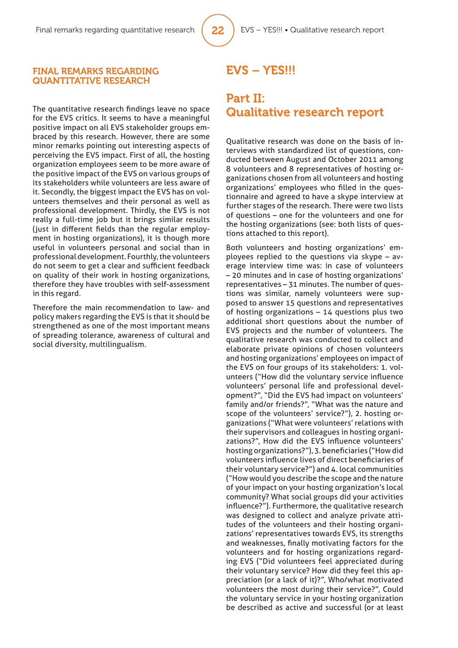#### FINAL REMARKS REGARDING QUANTITATIVE RESEARCH

The quantitative research findings leave no space for the EVS critics. It seems to have a meaningful positive impact on all EVS stakeholder groups embraced by this research. However, there are some minor remarks pointing out interesting aspects of perceiving the EVS impact. First of all, the hosting organization employees seem to be more aware of the positive impact of the EVS on various groups of its stakeholders while volunteers are less aware of it. Secondly, the biggest impact the EVS has on volunteers themselves and their personal as well as professional development. Thirdly, the EVS is not really a full-time job but it brings similar results (just in different fields than the regular employment in hosting organizations), it is though more useful in volunteers personal and social than in professional development. Fourthly, the volunteers do not seem to get a clear and sufficient feedback on quality of their work in hosting organizations, therefore they have troubles with self-assessment in this regard.

Therefore the main recommendation to law- and policy makers regarding the EVS is that it should be strengthened as one of the most important means of spreading tolerance, awareness of cultural and social diversity, multilingualism.

## EVS – YES!!!

## Part II: Qualitative research report

Qualitative research was done on the basis of interviews with standardized list of questions, conducted between August and October 2011 among 8 volunteers and 8 representatives of hosting organizations chosen from all volunteers and hosting organizations' employees who filled in the questionnaire and agreed to have a skype interview at further stages of the research. There were two lists of questions – one for the volunteers and one for the hosting organizations (see: both lists of questions attached to this report).

Both volunteers and hosting organizations' employees replied to the questions via skype – average interview time was: in case of volunteers – 20 minutes and in case of hosting organizations' representatives – 31 minutes. The number of questions was similar, namely volunteers were supposed to answer 15 questions and representatives of hosting organizations – 14 questions plus two additional short questions about the number of EVS projects and the number of volunteers. The qualitative research was conducted to collect and elaborate private opinions of chosen volunteers and hosting organizations' employees on impact of the EVS on four groups of its stakeholders: 1. volunteers ("How did the voluntary service influence volunteers' personal life and professional development?", "Did the EVS had impact on volunteers' family and/or friends?", "What was the nature and scope of the volunteers' service?"), 2. hosting organizations ("What were volunteers' relations with their supervisors and colleagues in hosting organizations?", How did the EVS influence volunteers' hosting organizations?"), 3. beneficiaries ("How did volunteers influence lives of direct beneficiaries of their voluntary service?") and 4. local communities ("How would you describe the scope and the nature of your impact on your hosting organization's local community? What social groups did your activities influence?"). Furthermore, the qualitative research was designed to collect and analyze private attitudes of the volunteers and their hosting organizations' representatives towards EVS, its strengths and weaknesses, finally motivating factors for the volunteers and for hosting organizations regarding EVS ("Did volunteers feel appreciated during their voluntary service? How did they feel this appreciation (or a lack of it)?", Who/what motivated volunteers the most during their service?", Could the voluntary service in your hosting organization be described as active and successful (or at least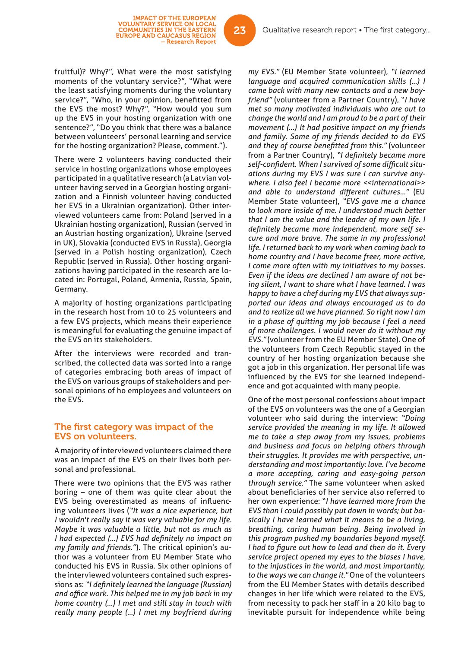fruitful)? Why?", What were the most satisfying moments of the voluntary service?", "What were the least satisfying moments during the voluntary service?", "Who, in your opinion, benefitted from the EVS the most? Why?", "How would you sum up the EVS in your hosting organization with one sentence?", "Do you think that there was a balance between volunteers' personal learning and service for the hosting organization? Please, comment.").

IMPACT OF THE EUROPEAN<br>VOLUNTARY SERVICE ON LOCAL<br>COMMUNITIES IN THE EASTERN<br>EUROPE AND CAUCASUS REGION

- Research Report

There were 2 volunteers having conducted their service in hosting organizations whose employees participated in a qualitative research (a Latvian volunteer having served in a Georgian hosting organization and a Finnish volunteer having conducted her EVS in a Ukrainian organization). Other interviewed volunteers came from: Poland (served in a Ukrainian hosting organization), Russian (served in an Austrian hosting organization), Ukraine (served in UK), Slovakia (conducted EVS in Russia), Georgia (served in a Polish hosting organization), Czech Republic (served in Russia). Other hosting organizations having participated in the research are located in: Portugal, Poland, Armenia, Russia, Spain, Germany.

A majority of hosting organizations participating in the research host from 10 to 25 volunteers and a few EVS projects, which means their experience is meaningful for evaluating the genuine impact of the EVS on its stakeholders.

After the interviews were recorded and transcribed, the collected data was sorted into a range of categories embracing both areas of impact of the EVS on various groups of stakeholders and personal opinions of ho employees and volunteers on the EVS.

#### The first category was impact of the EVS on volunteers.

A majority of interviewed volunteers claimed there was an impact of the EVS on their lives both personal and professional.

There were two opinions that the EVS was rather boring – one of them was quite clear about the EVS being overestimated as means of influencing volunteers lives (*"It was a nice experience, but I wouldn't really say it was very valuable for my life. Maybe it was valuable a little, but not as much as I had expected (...) EVS had definitely no impact on my family and friends."*). The critical opinion's author was a volunteer from EU Member State who conducted his EVS in Russia. Six other opinions of the interviewed volunteers contained such expressions as: "*I definitely learned the language (Russian) and offi ce work. This helped me in my job back in my home country (…) I met and still stay in touch with really many people (…) I met my boyfriend during* 

*my EVS."* (EU Member State volunteer), *"I learned language and acquired communication skills (…) I came back with many new contacts and a new boyfriend"* (volunteer from a Partner Country), "*I have met so many motivated individuals who are out to change the world and I am proud to be a part of their movement (…) It had positive impact on my friends and family. Some of my friends decided to do EVS and they of course benefi tted from this."* (volunteer from a Partner Country), "I definitely became more self-confident. When I survived of some difficult situ*ations during my EVS I was sure I can survive anywhere. I also feel I became more <<international>>*  and able to understand different cultures..." (EU Member State volunteer), *"EVS gave me a chance to look more inside of me. I understood much better that I am the value and the leader of my own life. I*  definitely became more independent, more self se*cure and more brave. The same in my professional life. I returned back to my work when coming back to home country and I have become freer, more active, I come more often with my initiatives to my bosses. Even if the ideas are declined I am aware of not being silent, I want to share what I have learned. I was happy to have a chef during my EVS that always supported our ideas and always encouraged us to do and to realize all we have planned. So right now I am in a phase of quitting my job because I feel a need of more challenges. I would never do it without my EVS."* (volunteer from the EU Member State). One of the volunteers from Czech Republic stayed in the country of her hosting organization because she got a job in this organization. Her personal life was influenced by the EVS for she learned independence and got acquainted with many people.

One of the most personal confessions about impact of the EVS on volunteers was the one of a Georgian volunteer who said during the interview: *"Doing service provided the meaning in my life. It allowed me to take a step away from my issues, problems and business and focus on helping others through their struggles. It provides me with perspective, understanding and most importantly: love. I've become a more accepting, caring and easy-going person through service."* The same volunteer when asked about beneficiaries of her service also referred to her own experience: "*I have learned more from the EVS than I could possibly put down in words; but basically I have learned what it means to be a living, breathing, caring human being. Being involved in this program pushed my boundaries beyond myself. I had to figure out how to lead and then do it. Every service project opened my eyes to the biases I have, to the injustices in the world, and most importantly, to the ways we can change it."* One of the volunteers from the EU Member States with details described changes in her life which were related to the EVS, from necessity to pack her staff in a 20 kilo bag to inevitable pursuit for independence while being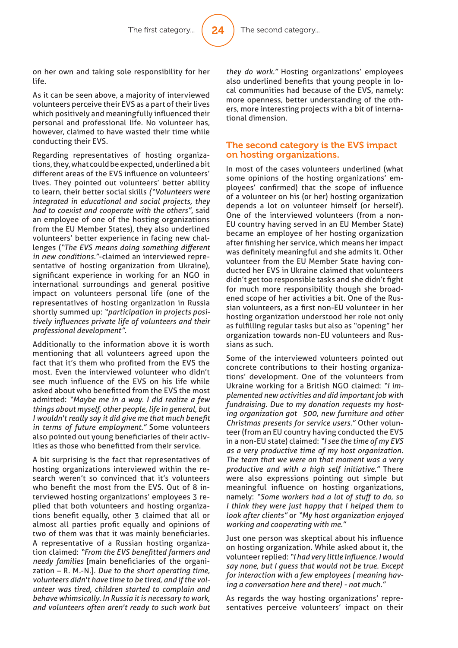24

on her own and taking sole responsibility for her life.

As it can be seen above, a majority of interviewed volunteers perceive their EVS as a part of their lives which positively and meaningfully influenced their personal and professional life. No volunteer has, however, claimed to have wasted their time while conducting their EVS.

Regarding representatives of hosting organizations, they, what could be expected, underlined a bit different areas of the EVS influence on volunteers' lives. They pointed out volunteers' better ability to learn, their better social skills *("Volunteers were integrated in educational and social projects, they had to coexist and cooperate with the others"*, said an employee of one of the hosting organizations from the EU Member States), they also underlined volunteers' better experience in facing new challenges ("The EVS means doing something different *in new conditions."*-claimed an interviewed representative of hosting organization from Ukraine), significant experience in working for an NGO in international surroundings and general positive impact on volunteers personal life (one of the representatives of hosting organization in Russia shortly summed up: *"participation in projects positively infl uences private life of volunteers and their professional development".*

Additionally to the information above it is worth mentioning that all volunteers agreed upon the fact that it's them who profited from the EVS the most. Even the interviewed volunteer who didn't see much influence of the EVS on his life while asked about who benefitted from the EVS the most admitted: *"Maybe me in a way. I did realize a few things about myself, other people, life in general, but I* wouldn't really say it did give me that much benefit *in terms of future employment."* Some volunteers also pointed out young beneficiaries of their activities as those who benefitted from their service.

A bit surprising is the fact that representatives of hosting organizations interviewed within the research weren't so convinced that it's volunteers who benefit the most from the EVS. Out of 8 interviewed hosting organizations' employees 3 replied that both volunteers and hosting organizations benefit equally, other 3 claimed that all or almost all parties profit equally and opinions of two of them was that it was mainly beneficiaries. A representative of a Russian hosting organization claimed: *"From the EVS benefi tted farmers and needy families* [main beneficiaries of the organization – R. M.-N.]*. Due to the short operating time, volunteers didn't have time to be tired, and if the volunteer was tired, children started to complain and behave whimsically. In Russia it is necessary to work, and volunteers often aren't ready to such work but*  *they do work."* Hosting organizations' employees also underlined benefits that young people in local communities had because of the EVS, namely: more openness, better understanding of the others, more interesting projects with a bit of international dimension.

#### The second category is the EVS impact on hosting organizations.

In most of the cases volunteers underlined (what some opinions of the hosting organizations' employees' confirmed) that the scope of influence of a volunteer on his (or her) hosting organization depends a lot on volunteer himself (or herself). One of the interviewed volunteers (from a non-EU country having served in an EU Member State) became an employee of her hosting organization after finishing her service, which means her impact was definitely meaningful and she admits it. Other volunteer from the EU Member State having conducted her EVS in Ukraine claimed that volunteers didn't get too responsible tasks and she didn't fight for much more responsibility though she broadened scope of her activities a bit. One of the Russian volunteers, as a first non-EU volunteer in her hosting organization understood her role not only as fulfilling regular tasks but also as "opening" her organization towards non-EU volunteers and Russians as such.

Some of the interviewed volunteers pointed out concrete contributions to their hosting organizations' development. One of the volunteers from Ukraine working for a British NGO claimed: *"I implemented new activities and did important job with fundraising. Due to my donation requests my hosting organization got 500, new furniture and other Christmas presents for service users."* Other volunteer (from an EU country having conducted the EVS in a non-EU state) claimed: *"I see the time of my EVS as a very productive time of my host organization. The team that we were on that moment was a very productive and with a high self initiative."* There were also expressions pointing out simple but meaningful influence on hosting organizations, namely: *"Some workers had a lot of stuff to do, so I think they were just happy that I helped them to look after clients"* or *"My host organization enjoyed working and cooperating with me."*

Just one person was skeptical about his influence on hosting organization. While asked about it, the volunteer replied: *"I had very little infl uence. I would say none, but I guess that would not be true. Except for interaction with a few employees ( meaning having a conversation here and there) - not much."*

As regards the way hosting organizations' representatives perceive volunteers' impact on their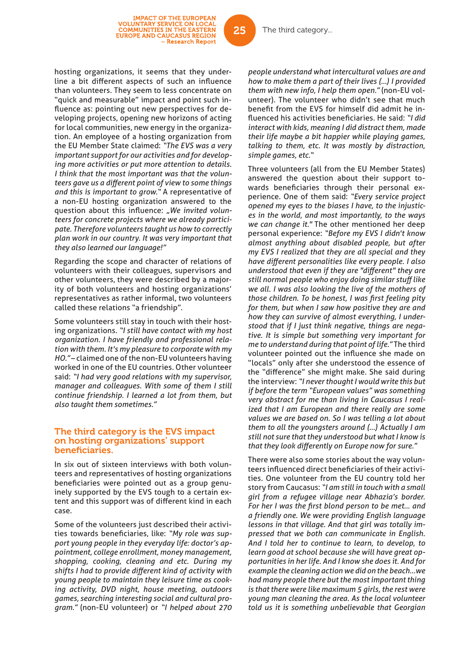hosting organizations, it seems that they underline a bit different aspects of such an influence than volunteers. They seem to less concentrate on "quick and measurable" impact and point such influence as: pointing out new perspectives for developing projects, opening new horizons of acting for local communities, new energy in the organization. An employee of a hosting organization from the EU Member State claimed: *"The EVS was a very important support for our activities and for developing more activities or put more attention to details. I think that the most important was that the volunteers gave us a diff erent point of view to some things and this is important to grow."* A representative of a non-EU hosting organization answered to the question about this influence: "We invited volun*teers for concrete projects where we already participate. Therefore volunteers taught us how to correctly plan work in our country. It was very important that they also learned our language!"*

Regarding the scope and character of relations of volunteers with their colleagues, supervisors and other volunteers, they were described by a majority of both volunteers and hosting organizations' representatives as rather informal, two volunteers called these relations "a friendship".

Some volunteers still stay in touch with their hosting organizations. *"I still have contact with my host organization. I have friendly and professional relation with them. It's my pleasure to corporate with my HO."* – claimed one of the non-EU volunteers having worked in one of the EU countries. Other volunteer said: *"I had very good relations with my supervisor, manager and colleagues. With some of them I still continue friendship. I learned a lot from them, but also taught them sometimes."*

#### The third category is the EVS impact on hosting organizations' support beneficiaries.

In six out of sixteen interviews with both volunteers and representatives of hosting organizations beneficiaries were pointed out as a group genuinely supported by the EVS tough to a certain extent and this support was of different kind in each case.

Some of the volunteers just described their activities towards beneficiaries, like: "My role was sup*port young people in they everyday life: doctor's appointment, college enrollment, money management, shopping, cooking, cleaning and etc. During my shifts I had to provide diff erent kind of activity with young people to maintain they leisure time as cooking activity, DVD night, house meeting, outdoors games, searching interesting social and cultural program."* (non-EU volunteer) or *"I helped about 270* 

*people understand what intercultural values are and how to make them a part of their lives (…) I provided them with new info, I help them open."* (non-EU volunteer). The volunteer who didn't see that much benefit from the EVS for himself did admit he influenced his activities beneficiaries. He said: "I did *interact with kids, meaning I did distract them, made their life maybe a bit happier while playing games, talking to them, etc. It was mostly by distraction, simple games, etc."*

Three volunteers (all from the EU Member States) answered the question about their support towards beneficiaries through their personal experience. One of them said: *"Every service project opened my eyes to the biases I have, to the injustices in the world, and most importantly, to the ways we can change it."* The other mentioned her deep personal experience: *"Before my EVS I didn't know almost anything about disabled people, but after my EVS I realized that they are all special and they have diff erent personalities like every people. I also understood that even if they are "diff erent" they are still normal people who enjoy doing similar stuff like we all. I was also looking the live of the mothers of those children. To be honest, I was fi rst feeling pity for them, but when I saw how positive they are and how they can survive of almost everything, I understood that if I just think negative, things are negative. It is simple but something very important for me to understand during that point of life."* The third volunteer pointed out the influence she made on "locals" only after she understood the essence of the "difference" she might make. She said during the interview: *"I never thought I would write this but if before the term "European values" was something very abstract for me than living in Caucasus I realized that I am European and there really are some values we are based on. So I was telling a lot about them to all the youngsters around (...) Actually I am still not sure that they understood but what I know is that they look diff erently on Europe now for sure."*

There were also some stories about the way volunteers influenced direct beneficiaries of their activities. One volunteer from the EU country told her story from Caucasus: *"I am still in touch with a small girl from a refugee village near Abhazia's border.*  For her I was the first blond person to be met... and *a friendly one. We were providing English language lessons in that village. And that girl was totally impressed that we both can communicate in English. And I told her to continue to learn, to develop, to learn good at school because she will have great opportunities in her life. And I know she does it. And for example the cleaning action we did on the beach...we had many people there but the most important thing is that there were like maximum 5 girls, the rest were young man cleaning the area. As the local volunteer told us it is something unbelievable that Georgian* 

25

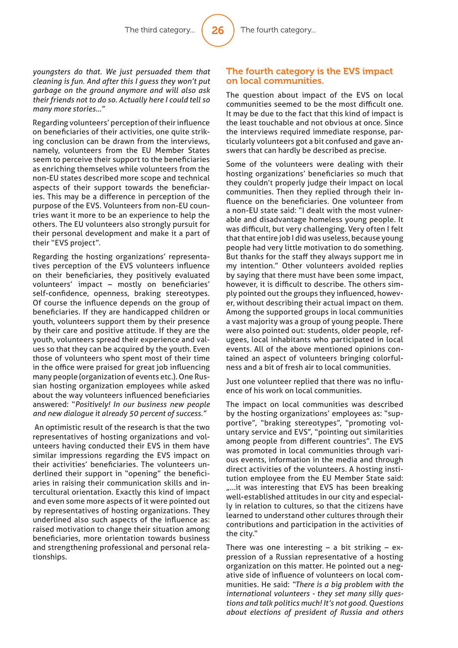26

*youngsters do that. We just persuaded them that cleaning is fun. And after this I guess they won't put garbage on the ground anymore and will also ask their friends not to do so. Actually here I could tell so many more stories…"*

Regarding volunteers' perception of their influence on beneficiaries of their activities, one quite striking conclusion can be drawn from the interviews, namely, volunteers from the EU Member States seem to perceive their support to the beneficiaries as enriching themselves while volunteers from the non-EU states described more scope and technical aspects of their support towards the beneficiaries. This may be a difference in perception of the purpose of the EVS. Volunteers from non-EU countries want it more to be an experience to help the others. The EU volunteers also strongly pursuit for their personal development and make it a part of their "EVS project".

Regarding the hosting organizations' representatives perception of the EVS volunteers influence on their beneficiaries, they positively evaluated volunteers' impact - mostly on beneficiaries' self-confidence, openness, braking stereotypes. Of course the influence depends on the group of beneficiaries. If they are handicapped children or youth, volunteers support them by their presence by their care and positive attitude. If they are the youth, volunteers spread their experience and values so that they can be acquired by the youth. Even those of volunteers who spent most of their time in the office were praised for great job influencing many people (organization of events etc.). One Russian hosting organization employees while asked about the way volunteers influenced beneficiaries answered: "*Positively! In our business new people and new dialogue it already 50 percent of success."*

 An optimistic result of the research is that the two representatives of hosting organizations and volunteers having conducted their EVS in them have similar impressions regarding the EVS impact on their activities' beneficiaries. The volunteers underlined their support in "opening" the beneficiaries in raising their communication skills and intercultural orientation. Exactly this kind of impact and even some more aspects of it were pointed out by representatives of hosting organizations. They underlined also such aspects of the influence as: raised motivation to change their situation among beneficiaries, more orientation towards business and strengthening professional and personal relationships.

#### The fourth category is the EVS impact on local communities.

The question about impact of the EVS on local communities seemed to be the most difficult one. It may be due to the fact that this kind of impact is the least touchable and not obvious at once. Since the interviews required immediate response, particularly volunteers got a bit confused and gave answers that can hardly be described as precise.

Some of the volunteers were dealing with their hosting organizations' beneficiaries so much that they couldn't properly judge their impact on local communities. Then they replied through their influence on the beneficiaries. One volunteer from a non-EU state said: "I dealt with the most vulnerable and disadvantage homeless young people. It was difficult, but very challenging. Very often I felt that that entire job I did was useless, because young people had very little motivation to do something. But thanks for the staff they always support me in my intention." Other volunteers avoided replies by saying that there must have been some impact, however, it is difficult to describe. The others simply pointed out the groups they influenced, however, without describing their actual impact on them. Among the supported groups in local communities a vast majority was a group of young people. There were also pointed out: students, older people, refugees, local inhabitants who participated in local events. All of the above mentioned opinions contained an aspect of volunteers bringing colorfulness and a bit of fresh air to local communities.

Just one volunteer replied that there was no influence of his work on local communities.

The impact on local communities was described by the hosting organizations' employees as: "supportive", "braking stereotypes", "promoting voluntary service and EVS", "pointing out similarities among people from different countries". The EVS was promoted in local communities through various events, information in the media and through direct activities of the volunteers. A hosting institution employee from the EU Member State said: ....it was interesting that EVS has been breaking well-established attitudes in our city and especially in relation to cultures, so that the citizens have learned to understand other cultures through their contributions and participation in the activities of the city."

There was one interesting  $-$  a bit striking  $-$  expression of a Russian representative of a hosting organization on this matter. He pointed out a negative side of influence of volunteers on local communities. He said: *"There is a big problem with the international volunteers - they set many silly questions and talk politics much! It's not good. Questions about elections of president of Russia and others*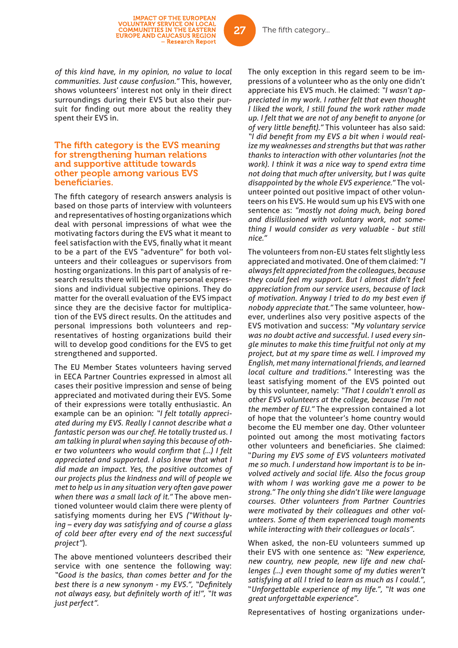*of this kind have, in my opinion, no value to local communities. Just cause confusion."* This, however, shows volunteers' interest not only in their direct surroundings during their EVS but also their pursuit for finding out more about the reality they spent their EVS in.

#### The fifth category is the EVS meaning for strengthening human relations and supportive attitude towards other people among various EVS beneficiaries.

The fifth category of research answers analysis is based on those parts of interview with volunteers and representatives of hosting organizations which deal with personal impressions of what wee the motivating factors during the EVS what it meant to feel satisfaction with the EVS, finally what it meant to be a part of the EVS "adventure" for both volunteers and their colleagues or supervisors from hosting organizations. In this part of analysis of research results there will be many personal expressions and individual subjective opinions. They do matter for the overall evaluation of the EVS impact since they are the decisive factor for multiplication of the EVS direct results. On the attitudes and personal impressions both volunteers and representatives of hosting organizations build their will to develop good conditions for the EVS to get strengthened and supported.

The EU Member States volunteers having served in EECA Partner Countries expressed in almost all cases their positive impression and sense of being appreciated and motivated during their EVS. Some of their expressions were totally enthusiastic. An example can be an opinion: *"I felt totally appreciated during my EVS. Really I cannot describe what a fantastic person was our chef. He totally trusted us. I am talking in plural when saying this because of oth*er two volunteers who would confirm that (...) I felt *appreciated and supported. I also knew that what I did made an impact. Yes, the positive outcomes of our projects plus the kindness and will of people we met to help us in any situation very often gave power when there was a small lack of it."* The above mentioned volunteer would claim there were plenty of satisfying moments during her EVS *("Without lying – every day was satisfying and of course a glass of cold beer after every end of the next successful project"*).

The above mentioned volunteers described their service with one sentence the following way: *"Good is the basics, than comes better and for the best there is a new synonym - my EVS.", "Definitely not always easy, but definitely worth of it!", "It was just perfect".*

The only exception in this regard seem to be impressions of a volunteer who as the only one didn't appreciate his EVS much. He claimed: *"I wasn't appreciated in my work. I rather felt that even thought I liked the work, I still found the work rather made up. I felt that we are not of any benefi t to anyone (or*  of very little benefit)." This volunteer has also said: "I did benefit from my EVS a bit when *i* would real*ize my weaknesses and strengths but that was rather thanks to interaction with other voluntaries (not the work). I think it was a nice way to spend extra time not doing that much after university, but I was quite disappointed by the whole EVS experience."* The volunteer pointed out positive impact of other volunteers on his EVS. He would sum up his EVS with one sentence as: *"mostly not doing much, being bored and disillusioned with voluntary work, not something I would consider as very valuable - but still nice."*

The volunteers from non-EU states felt slightly less appreciated and motivated. One of them claimed: *"I always felt appreciated from the colleagues, because they could feel my support. But I almost didn't feel appreciation from our service users, because of lack of motivation. Anyway I tried to do my best even if nobody appreciate that."* The same volunteer, however, underlines also very positive aspects of the EVS motivation and success: *"My voluntary service was no doubt active and successful. I used every single minutes to make this time fruitful not only at my project, but at my spare time as well. I improved my English, met many international friends, and learned local culture and traditions."* Interesting was the least satisfying moment of the EVS pointed out by this volunteer, namely: *"That I couldn't enroll as other EVS volunteers at the college, because I'm not the member of EU."* The expression contained a lot of hope that the volunteer's home country would become the EU member one day. Other volunteer pointed out among the most motivating factors other volunteers and beneficiaries. She claimed: "*During my EVS some of EVS volunteers motivated me so much. I understand how important is to be involved actively and social life. Also the focus group with whom I was working gave me a power to be strong." The only thing she didn't like were language courses. Other volunteers from Partner Countries were motivated by their colleagues and other volunteers. Some of them experienced tough moments while interacting with their colleagues or locals".*

When asked, the non-EU volunteers summed up their EVS with one sentence as: *"New experience, new country, new people, new life and new challenges (…) even thought some of my duties weren't satisfying at all I tried to learn as much as I could."*, "*Unforgettable experience of my life.", "It was one great unforgettable experience".*

Representatives of hosting organizations under-

27

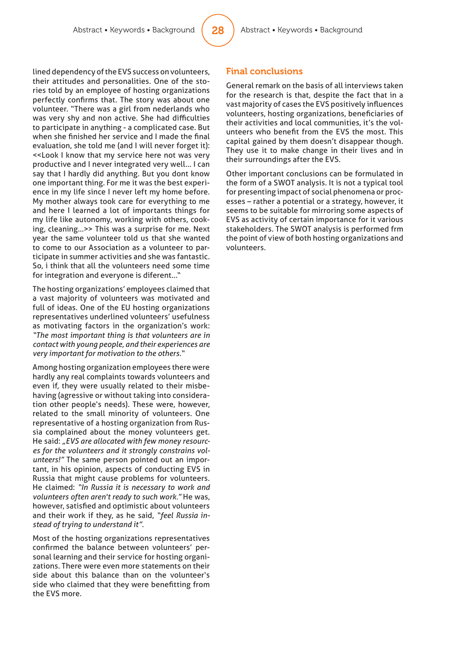lined dependency of the EVS success on volunteers, their attitudes and personalities. One of the stories told by an employee of hosting organizations perfectly confirms that. The story was about one volunteer. "There was a girl from nederlands who was very shy and non active. She had difficulties to participate in anything - a complicated case. But when she finished her service and I made the final evaluation, she told me (and I will never forget it): <<Look I know that my service here not was very productive and I never integrated very well... I can say that I hardly did anything. But you dont know one important thing. For me it was the best experience in my life since I never left my home before. My mother always took care for everything to me and here I learned a lot of importants things for my life like autonomy, working with others, cooking, cleaning...>> This was a surprise for me. Next year the same volunteer told us that she wanted to come to our Association as a volunteer to participate in summer activities and she was fantastic. So, i think that all the volunteers need some time for integration and everyone is diferent..."

The hosting organizations' employees claimed that a vast majority of volunteers was motivated and full of ideas. One of the EU hosting organizations representatives underlined volunteers' usefulness as motivating factors in the organization's work: *"The most important thing is that volunteers are in contact with young people, and their experiences are very important for motivation to the others."*

Among hosting organization employees there were hardly any real complaints towards volunteers and even if, they were usually related to their misbehaving (agressive or without taking into consideration other people's needs). These were, however, related to the small minority of volunteers. One representative of a hosting organization from Russia complained about the money volunteers get. He said: *"EVS are allocated with few money resources for the volunteers and it strongly constrains volunteers!"* The same person pointed out an important, in his opinion, aspects of conducting EVS in Russia that might cause problems for volunteers. He claimed: *"In Russia it is necessary to work and volunteers often aren't ready to such work."* He was, however, satisfied and optimistic about volunteers and their work if they, as he said, *"feel Russia instead of trying to understand it"*.

Most of the hosting organizations representatives confirmed the balance between volunteers' personal learning and their service for hosting organizations. There were even more statements on their side about this balance than on the volunteer's side who claimed that they were benefitting from the EVS more.

#### Final conclusions

General remark on the basis of all interviews taken for the research is that, despite the fact that in a vast majority of cases the EVS positively influences volunteers, hosting organizations, beneficiaries of their activities and local communities, it's the volunteers who benefit from the EVS the most. This capital gained by them doesn't disappear though. They use it to make change in their lives and in their surroundings after the EVS.

Other important conclusions can be formulated in the form of a SWOT analysis. It is not a typical tool for presenting impact of social phenomena or processes – rather a potential or a strategy, however, it seems to be suitable for mirroring some aspects of EVS as activity of certain importance for it various stakeholders. The SWOT analysis is performed frm the point of view of both hosting organizations and volunteers.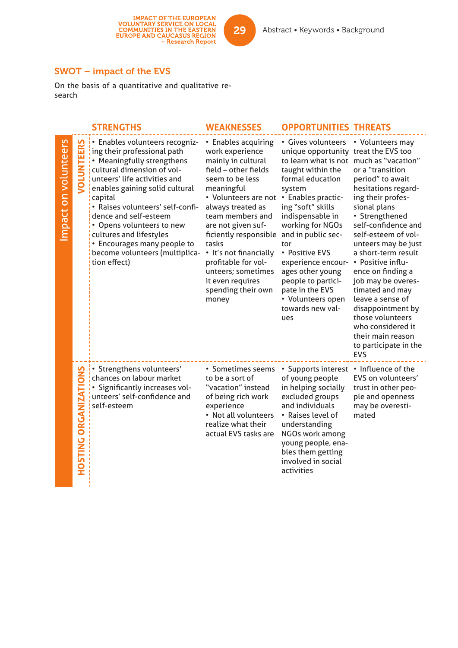### SWOT – impact of the EVS

On the basis of a quantitative and qualitative research

|                     |                              | <b>STRENGTHS</b>                                                                                                                                                                                                                                                                                                                                                                                             | <b>WEAKNESSES</b>                                                                                                                                                                                                                                                                                                                                                        | <b>OPPORTUNITIES THREATS</b>                                                                                                                                                                                                                                                                                                                                                                                                  |                                                                                                                                                                                                                                                                                                                                                                                                                                                                     |
|---------------------|------------------------------|--------------------------------------------------------------------------------------------------------------------------------------------------------------------------------------------------------------------------------------------------------------------------------------------------------------------------------------------------------------------------------------------------------------|--------------------------------------------------------------------------------------------------------------------------------------------------------------------------------------------------------------------------------------------------------------------------------------------------------------------------------------------------------------------------|-------------------------------------------------------------------------------------------------------------------------------------------------------------------------------------------------------------------------------------------------------------------------------------------------------------------------------------------------------------------------------------------------------------------------------|---------------------------------------------------------------------------------------------------------------------------------------------------------------------------------------------------------------------------------------------------------------------------------------------------------------------------------------------------------------------------------------------------------------------------------------------------------------------|
| mpact on volunteers | VOLUNTEERS                   | . Enables volunteers recogniz-<br>ing their professional path<br>• Meaningfully strengthens<br>cultural dimension of vol-<br>unteers' life activities and<br>enables gaining solid cultural<br>capital<br>· Raises volunteers' self-confi-<br>dence and self-esteem<br>• Opens volunteers to new<br>cultures and lifestyles<br>• Encourages many people to<br>become volunteers (multiplica-<br>tion effect) | • Enables acquiring<br>work experience<br>mainly in cultural<br>field - other fields<br>seem to be less<br>meaningful<br>• Volunteers are not<br>always treated as<br>team members and<br>are not given suf-<br>ficiently responsible<br>tasks<br>• It's not financially<br>profitable for vol-<br>unteers; sometimes<br>it even requires<br>spending their own<br>money | • Gives volunteers<br>unique opportunity treat the EVS too<br>to learn what is not much as "vacation"<br>taught within the<br>formal education<br>system<br>• Enables practic-<br>ing "soft" skills<br>indispensable in<br>working for NGOs<br>and in public sec-<br>tor<br>• Positive EVS<br>experience encour-<br>ages other young<br>people to partici-<br>pate in the EVS<br>• Volunteers open<br>towards new val-<br>ues | • Volunteers may<br>or a "transition<br>period" to await<br>hesitations regard-<br>ing their profes-<br>sional plans<br>• Strengthened<br>self-confidence and<br>self-esteem of vol-<br>unteers may be just<br>a short-term result<br>• Positive influ-<br>ence on finding a<br>job may be overes-<br>timated and may<br>leave a sense of<br>disappointment by<br>those volunteers<br>who considered it<br>their main reason<br>to participate in the<br><b>EVS</b> |
|                     | <b>HOSTING ORGANIZATIONS</b> | • Strengthens volunteers'<br>chances on labour market<br>• Significantly increases vol-<br>unteers' self-confidence and<br>self-esteem                                                                                                                                                                                                                                                                       | • Sometimes seems<br>to be a sort of<br>"vacation" instead<br>of being rich work<br>experience<br>• Not all volunteers<br>realize what their<br>actual EVS tasks are                                                                                                                                                                                                     | • Supports interest<br>of young people<br>in helping socially<br>excluded groups<br>and individuals<br>• Raises level of<br>understanding<br>NGOs work among<br>young people, ena-<br>bles them getting<br>involved in social<br>activities                                                                                                                                                                                   | • Influence of the<br>EVS on volunteers'<br>trust in other peo-<br>ple and openness<br>may be overesti-<br>mated                                                                                                                                                                                                                                                                                                                                                    |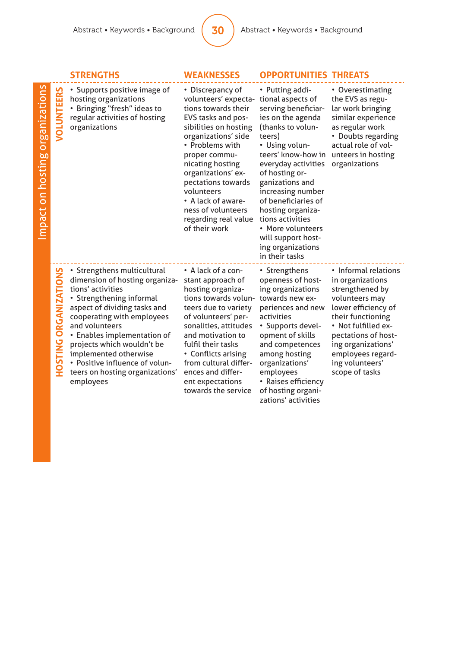|                                 |                                          | <b>STRENGTHS</b>                                                                                                                                                                                                                                                                                                                                                       | <b>WEAKNESSES</b>                                                                                                                                                                                                                                                                                                                            | <b>OPPORTUNITIES THREATS</b>                                                                                                                                                                                                                                                                                                                                                               |                                                                                                                                                                                                                                                         |
|---------------------------------|------------------------------------------|------------------------------------------------------------------------------------------------------------------------------------------------------------------------------------------------------------------------------------------------------------------------------------------------------------------------------------------------------------------------|----------------------------------------------------------------------------------------------------------------------------------------------------------------------------------------------------------------------------------------------------------------------------------------------------------------------------------------------|--------------------------------------------------------------------------------------------------------------------------------------------------------------------------------------------------------------------------------------------------------------------------------------------------------------------------------------------------------------------------------------------|---------------------------------------------------------------------------------------------------------------------------------------------------------------------------------------------------------------------------------------------------------|
| Impact on hosting organizations | TEERS<br>NOTOK                           | • Supports positive image of<br>hosting organizations<br>• Bringing "fresh" ideas to<br>regular activities of hosting<br>organizations                                                                                                                                                                                                                                 | • Discrepancy of<br>volunteers' expecta-<br>tions towards their<br>EVS tasks and pos-<br>sibilities on hosting<br>organizations' side<br>• Problems with<br>proper commu-<br>nicating hosting<br>organizations' ex-<br>pectations towards<br>volunteers<br>• A lack of aware-<br>ness of volunteers<br>regarding real value<br>of their work | • Putting addi-<br>tional aspects of<br>serving beneficiar-<br>ies on the agenda<br>(thanks to volun-<br>teers)<br>• Using volun-<br>teers' know-how in<br>everyday activities<br>of hosting or-<br>ganizations and<br>increasing number<br>of beneficiaries of<br>hosting organiza-<br>tions activities<br>• More volunteers<br>will support host-<br>ing organizations<br>in their tasks | • Overestimating<br>the EVS as regu-<br>lar work bringing<br>similar experience<br>as regular work<br>• Doubts regarding<br>actual role of vol-<br>unteers in hosting<br>organizations                                                                  |
|                                 | O<br><b>ORGANIZATI</b><br><b>HOSTING</b> | • Strengthens multicultural<br>dimension of hosting organiza-<br>tions' activities<br>• Strengthening informal<br>aspect of dividing tasks and<br>cooperating with employees<br>and volunteers<br>• Enables implementation of<br>projects which wouldn't be<br>implemented otherwise<br>• Positive influence of volun-<br>teers on hosting organizations'<br>employees | • A lack of a con-<br>stant approach of<br>hosting organiza-<br>tions towards volun-<br>teers due to variety<br>of volunteers' per-<br>sonalities, attitudes<br>and motivation to<br>fulfil their tasks<br>• Conflicts arising<br>from cultural differ-<br>ences and differ-<br>ent expectations<br>towards the service                      | • Strengthens<br>openness of host-<br>ing organizations<br>towards new ex-<br>periences and new<br>activities<br>• Supports devel-<br>opment of skills<br>and competences<br>among hosting<br>organizations'<br>employees<br>• Raises efficiency<br>of hosting organi-<br>zations' activities                                                                                              | • Informal relations<br>in organizations<br>strengthened by<br>volunteers may<br>lower efficiency of<br>their functioning<br>• Not fulfilled ex-<br>pectations of host-<br>ing organizations'<br>employees regard-<br>ing volunteers'<br>scope of tasks |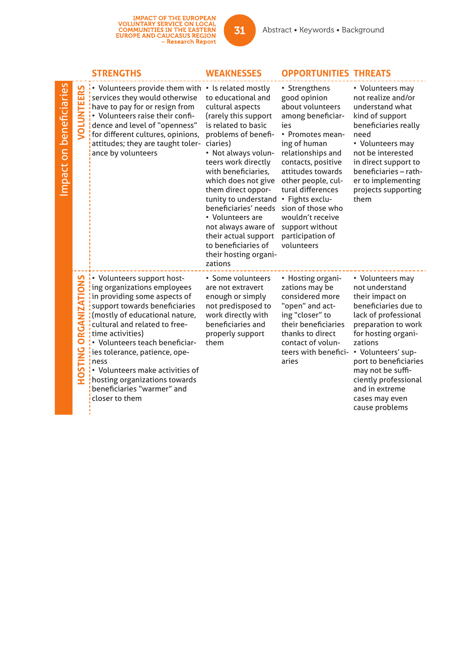IMPACT OF THE EUROPEAN<br>VOLUNTARY SERVICE ON LOCAL<br>COMMUNITIES IN THE EASTERN<br>EUROPE AND CAUCASUS REGION<br>Research Report

|                         |                                 | <b>STRENGTHS</b>                                                                                                                                                                                                                                                                                                                                                                                                 | <b>WEAKNESSES</b>                                                                                                                                                                                                                                                                                                                                                                                                        | <b>OPPORTUNITIES THREATS</b>                                                                                                                                                                                                                                                                                                                  |                                                                                                                                                                                                                                                                                                                  |
|-------------------------|---------------------------------|------------------------------------------------------------------------------------------------------------------------------------------------------------------------------------------------------------------------------------------------------------------------------------------------------------------------------------------------------------------------------------------------------------------|--------------------------------------------------------------------------------------------------------------------------------------------------------------------------------------------------------------------------------------------------------------------------------------------------------------------------------------------------------------------------------------------------------------------------|-----------------------------------------------------------------------------------------------------------------------------------------------------------------------------------------------------------------------------------------------------------------------------------------------------------------------------------------------|------------------------------------------------------------------------------------------------------------------------------------------------------------------------------------------------------------------------------------------------------------------------------------------------------------------|
| Impact on beneficiaries | ERS<br>핕<br>g                   | $\cdot$ Volunteers provide them with $\cdot$ Is related mostly<br>services they would otherwise<br>have to pay for or resign from<br>• Volunteers raise their confi-<br>dence and level of "openness"<br>for different cultures, opinions,<br>attitudes; they are taught toler-<br>ance by volunteers                                                                                                            | to educational and<br>cultural aspects<br>(rarely this support<br>is related to basic<br>problems of benefi-<br>ciaries)<br>• Not always volun-<br>teers work directly<br>with beneficiaries,<br>which does not give<br>them direct oppor-<br>tunity to understand<br>beneficiaries' needs<br>• Volunteers are<br>not always aware of<br>their actual support<br>to beneficiaries of<br>their hosting organi-<br>zations | • Strengthens<br>good opinion<br>about volunteers<br>among beneficiar-<br>ies<br>• Promotes mean-<br>ing of human<br>relationships and<br>contacts, positive<br>attitudes towards<br>other people, cul-<br>tural differences<br>• Fights exclu-<br>sion of those who<br>wouldn't receive<br>support without<br>participation of<br>volunteers | • Volunteers may<br>not realize and/or<br>understand what<br>kind of support<br>beneficiaries really<br>need<br>• Volunteers may<br>not be interested<br>in direct support to<br>beneficiaries - rath-<br>er to implementing<br>projects supporting<br>them                                                      |
|                         | ORGANIZATIONS<br><b>PNILSOH</b> | • Volunteers support host-<br>ing organizations employees<br>in providing some aspects of<br>support towards beneficiaries<br>(mostly of educational nature,<br>cultural and related to free-<br>time activities)<br>• Volunteers teach beneficiar-<br>ies tolerance, patience, ope-<br>ness<br>• Volunteers make activities of<br>hosting organizations towards<br>beneficiaries "warmer" and<br>closer to them | • Some volunteers<br>are not extravert<br>enough or simply<br>not predisposed to<br>work directly with<br>beneficiaries and<br>properly support<br>them                                                                                                                                                                                                                                                                  | • Hosting organi-<br>zations may be<br>considered more<br>"open" and act-<br>ing "closer" to<br>their beneficiaries<br>thanks to direct<br>contact of volun-<br>teers with benefici-<br>aries                                                                                                                                                 | • Volunteers may<br>not understand<br>their impact on<br>beneficiaries due to<br>lack of professional<br>preparation to work<br>for hosting organi-<br>zations<br>• Volunteers' sup-<br>port to beneficiaries<br>may not be suffi-<br>ciently professional<br>and in extreme<br>cases may even<br>cause problems |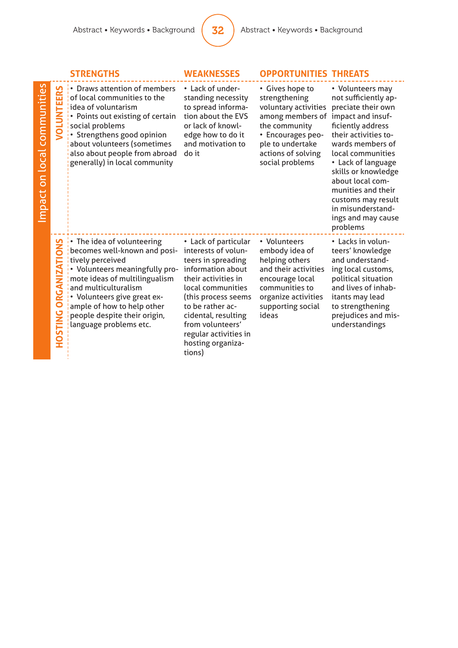|                               |                                            | <b>STRENGTHS</b>                                                                                                                                                                                                                                                                                       | <b>WEAKNESSES</b>                                                                                                                                                                                                                                                                | <b>OPPORTUNITIES THREATS</b>                                                                                                                                                    |                                                                                                                                                                                                                                                                                                                                               |
|-------------------------------|--------------------------------------------|--------------------------------------------------------------------------------------------------------------------------------------------------------------------------------------------------------------------------------------------------------------------------------------------------------|----------------------------------------------------------------------------------------------------------------------------------------------------------------------------------------------------------------------------------------------------------------------------------|---------------------------------------------------------------------------------------------------------------------------------------------------------------------------------|-----------------------------------------------------------------------------------------------------------------------------------------------------------------------------------------------------------------------------------------------------------------------------------------------------------------------------------------------|
| communities<br>mpact on local | TEERS<br>g                                 | • Draws attention of members<br>of local communities to the<br>idea of voluntarism<br>• Points out existing of certain<br>social problems<br>• Strengthens good opinion<br>about volunteers (sometimes<br>also about people from abroad<br>generally) in local community                               | • Lack of under-<br>standing necessity<br>to spread informa-<br>tion about the EVS<br>or lack of knowl-<br>edge how to do it<br>and motivation to<br>do it                                                                                                                       | • Gives hope to<br>strengthening<br>voluntary activities<br>among members of<br>the community<br>• Encourages peo-<br>ple to undertake<br>actions of solving<br>social problems | • Volunteers may<br>not sufficiently ap-<br>preciate their own<br>impact and insuf-<br>ficiently address<br>their activities to-<br>wards members of<br>local communities<br>• Lack of language<br>skills or knowledge<br>about local com-<br>munities and their<br>customs may result<br>in misunderstand-<br>ings and may cause<br>problems |
|                               | SNO<br><b>ORGANIZATI</b><br><b>HOSTING</b> | $\cdot$ The idea of volunteering<br>becomes well-known and posi-<br>tively perceived<br>• Volunteers meaningfully pro-<br>mote ideas of multilingualism<br>and multiculturalism<br>• Volunteers give great ex-<br>ample of how to help other<br>people despite their origin,<br>language problems etc. | • Lack of particular<br>interests of volun-<br>teers in spreading<br>information about<br>their activities in<br>local communities<br>(this process seems<br>to be rather ac-<br>cidental, resulting<br>from volunteers'<br>regular activities in<br>hosting organiza-<br>tions) | • Volunteers<br>embody idea of<br>helping others<br>and their activities<br>encourage local<br>communities to<br>organize activities<br>supporting social<br>ideas              | • Lacks in volun-<br>teers' knowledge<br>and understand-<br>ing local customs,<br>political situation<br>and lives of inhab-<br>itants may lead<br>to strengthening<br>prejudices and mis-<br>understandings                                                                                                                                  |